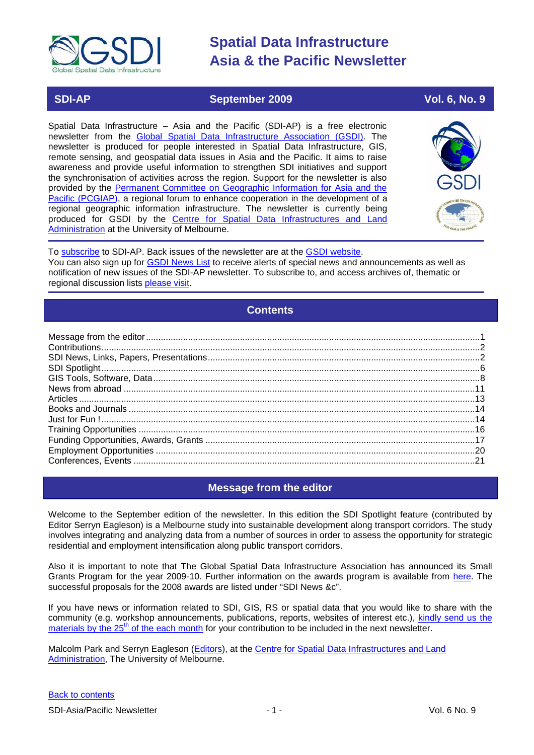

### **SDI-AP September 2009 Vol. 6, No. 9**

Spatial Data Infrastructure – Asia and the Pacific (SDI-AP) is a free electronic newsletter from the [Global Spatial Data Infrastructure Association \(GSDI\).](http://www.gsdi.org/) The newsletter is produced for people interested in Spatial Data Infrastructure, GIS, remote sensing, and geospatial data issues in Asia and the Pacific. It aims to raise awareness and provide useful information to strengthen SDI initiatives and support the synchronisation of activities across the region. Support for the newsletter is also provided by the [Permanent Committee on Geographic Information for Asia and the](http://www.pcgiap.org/)  [Pacific \(PCGIAP\)](http://www.pcgiap.org/), a regional forum to enhance cooperation in the development of a regional geographic information infrastructure. The newsletter is currently being produced for GSDI by the [Centre for Spatial Data Infrastructures and Land](http://www.csdila.unimelb.edu.au/)  [Administration](http://www.csdila.unimelb.edu.au/) at the University of Melbourne.



To [subscribe](http://www.gsdi.org/newslist/gsdisubscribe.asp) to SDI-AP. Back issues of the newsletter are at the [GSDI website.](http://www.gsdi.org/newsletters.asp) You can also sign up for **GSDI News List** to receive alerts of special news and announcements as well as notification of new issues of the SDI-AP newsletter. To subscribe to, and access archives of, thematic or regional discussion lists [please visit.](http://www.gsdi.org/discussionlists.asp)

### **Contents**

<span id="page-0-0"></span>

### **Message from the editor**

<span id="page-0-1"></span>Welcome to the September edition of the newsletter. In this edition the SDI Spotlight feature (contributed by Editor Serryn Eagleson) is a Melbourne study into sustainable development along transport corridors. The study involves integrating and analyzing data from a number of sources in order to assess the opportunity for strategic residential and employment intensification along public transport corridors.

Also it is important to note that The Global Spatial Data Infrastructure Association has announced its Small Grants Program for the year 2009-10. Further information on the awards program is available from [here.](http://www.gsdi.org/newslist/posts/newspostpage.php?PK_ID=152) The successful proposals for the 2008 awards are listed under "SDI News &c".

If you have news or information related to SDI, GIS, RS or spatial data that you would like to share with the community (e.g. workshop announcements, publications, reports, websites of interest etc.), [kindly send us](mailto:sdi-ap@gsdi.org) the materials by the  $25<sup>th</sup>$  of the each month for your contribution to be included in the next newsletter.

Malcolm Park and Serryn Eagleson [\(Editors\)](mailto:Editor.SDIAP@gmail.com), at the [Centre for Spatial Data Infrastructures and Land](http://www.csdila.unimelb.edu.au/)  [Administration,](http://www.csdila.unimelb.edu.au/) The University of Melbourne.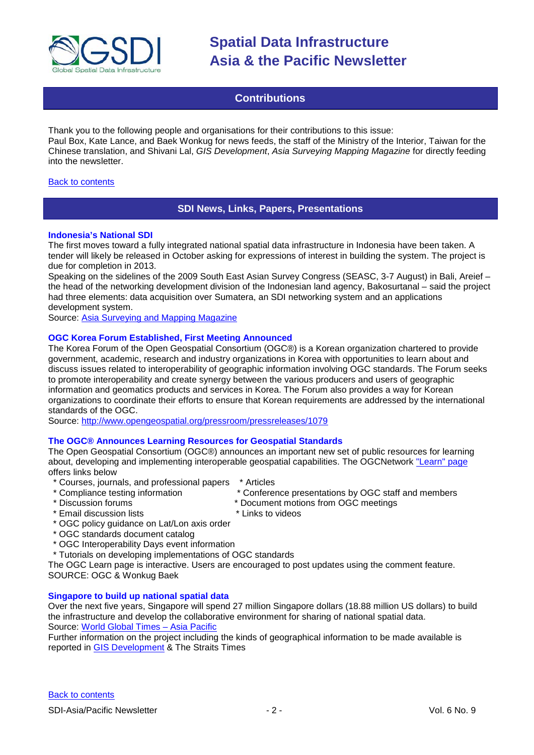

### **Contributions**

<span id="page-1-0"></span>Thank you to the following people and organisations for their contributions to this issue: Paul Box, Kate Lance, and Baek Wonkug for news feeds, the staff of the Ministry of the Interior, Taiwan for the Chinese translation, and Shivani Lal, *GIS Development*, *Asia Surveying Mapping Magazine* for directly feeding into the newsletter.

#### <span id="page-1-1"></span>[Back to contents](#page-0-0)

### **SDI News, Links, Papers, Presentations**

#### **Indonesia's National SDI**

The first moves toward a fully integrated national spatial data infrastructure in Indonesia have been taken. A tender will likely be released in October asking for expressions of interest in building the system. The project is due for completion in 2013.

Speaking on the sidelines of the 2009 South East Asian Survey Congress (SEASC, 3-7 August) in Bali, Areief – the head of the networking development division of the Indonesian land agency, Bakosurtanal – said the project had three elements: data acquisition over Sumatera, an SDI networking system and an applications development system.

Source: [Asia Surveying and Mapping Magazine](http://www.asmmag.com/news/indonesia-s-national-sdi-seasc-report)

#### **OGC Korea Forum Established, First Meeting Announced**

The Korea Forum of the Open Geospatial Consortium (OGC®) is a Korean organization chartered to provide government, academic, research and industry organizations in Korea with opportunities to learn about and discuss issues related to interoperability of geographic information involving OGC standards. The Forum seeks to promote interoperability and create synergy between the various producers and users of geographic information and geomatics products and services in Korea. The Forum also provides a way for Korean organizations to coordinate their efforts to ensure that Korean requirements are addressed by the international standards of the OGC.

Source:<http://www.opengeospatial.org/pressroom/pressreleases/1079>

#### **The OGC® Announces Learning Resources for Geospatial Standards**

The Open Geospatial Consortium (OGC®) announces an important new set of public resources for learning about, developing and implementing interoperable geospatial capabilities. The OGCNetwork ["Learn" page](http://www.ogcnetwork.net/learn) offers links below

- \* Courses, journals, and professional papers \* Articles<br>\* Compliance testing information \* \* Conferer
- \* Compliance testing information \* \* Conference presentations by OGC staff and members<br>\* Discussion forums \* \* Document motions from OGC meetings
- 

\* Email discussion lists

- \* Document motions from OGC meetings \* Links to videos
- \* OGC policy guidance on Lat/Lon axis order
- \* OGC standards document catalog
- \* OGC Interoperability Days event information
- \* Tutorials on developing implementations of OGC standards

The OGC Learn page is interactive. Users are encouraged to post updates using the comment feature. SOURCE: OGC & Wonkug Baek

#### **Singapore to build up national spatial data**

Over the next five years, Singapore will spend 27 million Singapore dollars (18.88 million US dollars) to build the infrastructure and develop the collaborative environment for sharing of national spatial data. Source: [World Global Times –](http://world.globaltimes.cn/asia-pacific/2009-08/458752.html) Asia Pacific

Further information on the project including the kinds of geographical information to be made available is reported in [GIS Development](http://www.gisdevelopment.net/news/viewn.asp?id=GIS:N_eajdhpbovg) & The Straits Times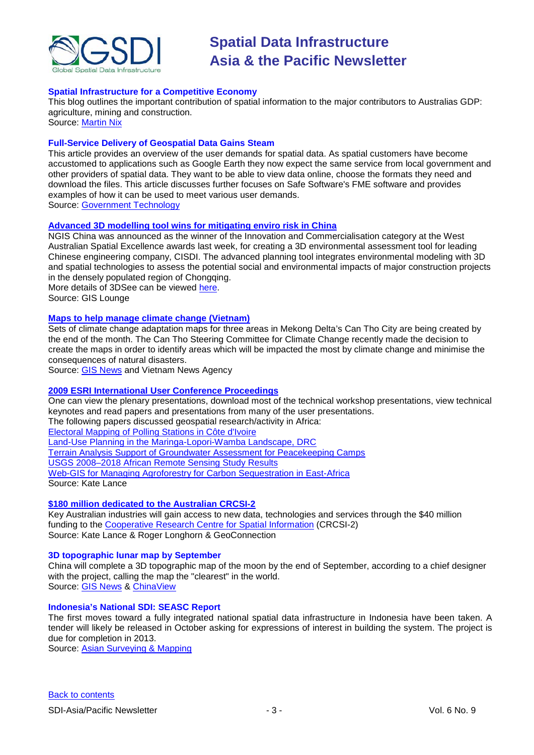

#### **Spatial Infrastructure for a Competitive Economy**

This blog outlines the important contribution of spatial information to the major contributors to Australias GDP: agriculture, mining and construction.

Source: [Martin Nix](http://www.openforum.com.au/content/spatial-infrastructure-competitive-economy)

#### **Full-Service Delivery of Geospatial Data Gains Steam**

This article provides an overview of the user demands for spatial data. As spatial customers have become accustomed to applications such as Google Earth they now expect the same service from local government and other providers of spatial data. They want to be able to view data online, choose the formats they need and download the files. This article discusses further focuses on Safe Software's FME software and provides examples of how it can be used to meet various user demands. Source: [Government Technology](http://www.govtech.com/gt/712837)

#### **[Advanced 3D modelling tool wins for mitigating enviro risk in China](http://news.gislounge.com/2009/07/advanced-3d-modelling-tool-wins-for-mitigating-enviro-risk-in-china/)**

NGIS China was announced as the winner of the Innovation and Commercialisation category at the West Australian Spatial Excellence awards last week, for creating a 3D environmental assessment tool for leading Chinese engineering company, CISDI. The advanced planning tool integrates environmental modeling with 3D and spatial technologies to assess the potential social and environmental impacts of major construction projects in the densely populated region of Chongqing.

More details of 3DSee can be viewed [here.](http://www.ngis.com.au/Products/3DSee/default.aspx) Source: GIS Lounge

#### **[Maps to help manage climate change \(Vietnam\)](http://vietnamnews.vnagency.com.vn/showarticle.php?num=04MIS270709)**

Sets of climate change adaptation maps for three areas in Mekong Delta's Can Tho City are being created by the end of the month. The Can Tho Steering Committee for Climate Change recently made the decision to create the maps in order to identify areas which will be impacted the most by climate change and minimise the consequences of natural disasters.

Source: [GIS News](http://www.gisdevelopment.net/news/viewn.asp?id=GIS:N_nmoxwdptic&Ezine=aug0309§ion=News) and Vietnam News Agency

#### **[2009 ESRI International User Conference Proceedings](http://dup.esrin.esa.int/files/Project/131-176-149-30_2005425102143.gif)**

One can view the plenary presentations, download most of the technical workshop presentations, view technical keynotes and read papers and presentations from many of the user presentations. The following papers discussed geospatial research/activity in Africa: [Electoral Mapping of Polling Stations in Côte d'Ivoire](http://proceedings.esri.com/library/userconf/proc09/uc/abstracts/a1771.html) [Land-Use Planning in the Maringa-Lopori-Wamba Landscape, DRC](http://proceedings.esri.com/library/userconf/proc09/uc/abstracts/a1771.html) [Terrain Analysis Support of Groundwater Assessment for Peacekeeping Camps](http://proceedings.esri.com/library/userconf/proc09/uc/abstracts/a1766.html) [USGS 2008–2018 African Remote Sensing Study Results](http://proceedings.esri.com/library/userconf/proc09/uc/abstracts/a1012.html) [Web-GIS for Managing Agroforestry for Carbon Sequestration in East-Africa](http://proceedings.esri.com/library/userconf/proc09/uc/abstracts/a1485.html) Source: Kate Lance

#### **[\\$180 million dedicated to the Australian CRCSI-2](http://www.geoconnexion.com/geo_news_article/$180-million-dedicated-to-the-Australian-CRCSI-2/6312)**

Key Australian industries will gain access to new data, technologies and services through the \$40 million funding to the [Cooperative Research Centre for Spatial Information](http://crcsi2.com.au/) (CRCSI-2) Source: Kate Lance & Roger Longhorn & GeoConnection

#### **3D topographic lunar map by September**

China will complete a 3D topographic map of the moon by the end of September, according to a chief designer with the project, calling the map the "clearest" in the world. Source: [GIS News](http://www.gisdevelopment.net/news/viewn.asp?id=GIS:N_eyvzwdtfoh&Ezine=aug1009§ion=News) & [ChinaView](http://news.xinhuanet.com/english/2009-08/05/content_11830895.htm)

#### **[Indonesia's National SDI: SEASC Report](http://www.asmmag.com/news/indonesia-s-national-sdi-seasc-report)**

The first moves toward a fully integrated national spatial data infrastructure in Indonesia have been taken. A tender will likely be released in October asking for expressions of interest in building the system. The project is due for completion in 2013.

Source: [Asian Surveying & Mapping](http://www.asmmag.com/news/indonesia-s-national-sdi-seasc-report)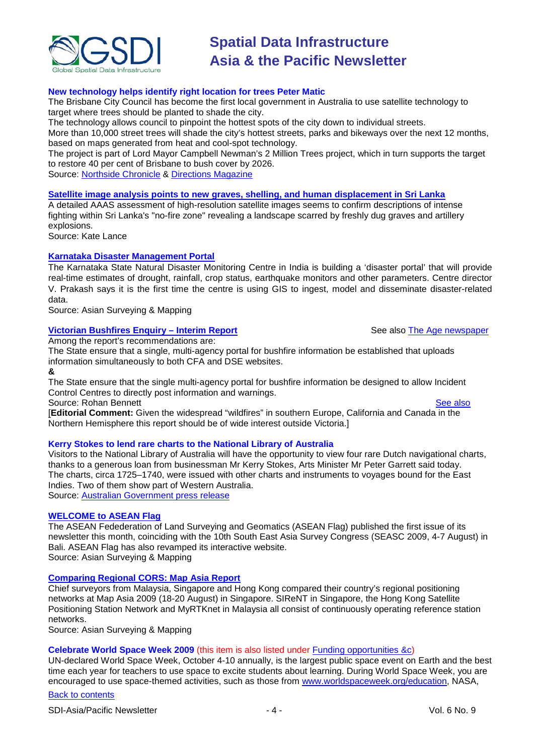

#### **New technology helps identify right location for trees Peter Matic**

The Brisbane City Council has become the first local government in Australia to use satellite technology to target where trees should be planted to shade the city.

The technology allows council to pinpoint the hottest spots of the city down to individual streets.

More than 10,000 street trees will shade the city's hottest streets, parks and bikeways over the next 12 months, based on maps generated from heat and cool-spot technology.

The project is part of Lord Mayor Campbell Newman's 2 Million Trees project, which in turn supports the target to restore 40 per cent of Brisbane to bush cover by 2026.

Source: [Northside Chronicle](http://northside-chronicle.whereilive.com.au/news/story/new-technology-helps-identify-right-location-for-trees/) & [Directions Magazine](http://apb.directionsmag.com/archives/6291-Using-Satellite-Imagery-to-Locate-Trees-for-Urban-Cooling.html)

#### **[Satellite image analysis points to new graves, shelling, and human displacement in Sri Lanka](http://www.aaas.org/news/releases/2009/0812sri_lanka.shtml)**

A detailed AAAS assessment of high-resolution satellite images seems to confirm descriptions of intense fighting within Sri Lanka's "no-fire zone" revealing a landscape scarred by freshly dug graves and artillery explosions.

Source: Kate Lance

#### **[Karnataka Disaster Management Portal](http://www.asmmag.com/news/karnataka-disaster-management-portal)**

The Karnataka State Natural Disaster Monitoring Centre in India is building a 'disaster portal' that will provide real-time estimates of drought, rainfall, crop status, earthquake monitors and other parameters. Centre director V. Prakash says it is the first time the centre is using GIS to ingest, model and disseminate disaster-related data.

Source: Asian Surveying & Mapping

#### **[Victorian Bushfires Enquiry –](http://www.royalcommission.vic.gov.au/Interim-Report) Interim Report** See also [The Age newspaper](http://www.theage.com.au/national/bushfires-royal-commission-the-recommendations-20090817-en90.html)

Among the report's recommendations are:

The State ensure that a single, multi-agency portal for bushfire information be established that uploads information simultaneously to both CFA and DSE websites.

**&**

The State ensure that the single multi-agency portal for bushfire information be designed to allow Incident Control Centres to directly post information and warnings.

Source: Rohan Bennett [See also](http://apb.directionsmag.com/archives/6332-Victoria-Fires-Report-Offers-Suggestions;-Reporter-Harps-on-LBS.html) See also See also See also See also See also See also See also See also See also

[**Editorial Comment:** Given the widespread "wildfires" in southern Europe, California and Canada in the Northern Hemisphere this report should be of wide interest outside Victoria.]

#### **Kerry Stokes to lend rare charts to the National Library of Australia**

Visitors to the National Library of Australia will have the opportunity to view four rare Dutch navigational charts, thanks to a generous loan from businessman Mr Kerry Stokes, Arts Minister Mr Peter Garrett said today. The charts, circa 1725–1740, were issued with other charts and instruments to voyages bound for the East Indies. Two of them show part of Western Australia. Source: [Australian Government press release](http://www.environment.gov.au/minister/garrett/2009/mr20090813.html)

**[WELCOME to ASEAN Flag](http://www.aseanflag.org.bn/MAIN.htm)**

The ASEAN Fedederation of Land Surveying and Geomatics (ASEAN Flag) published the first issue of its newsletter this month, coinciding with the 10th South East Asia Survey Congress (SEASC 2009, 4-7 August) in Bali. ASEAN Flag has also revamped its interactive website.

Source: Asian Surveying & Mapping

#### **[Comparing Regional CORS: Map Asia Report](http://www.asmmag.com/news/comparing-regional-cors-map-asia-report)**

Chief surveyors from Malaysia, Singapore and Hong Kong compared their country's regional positioning networks at Map Asia 2009 (18-20 August) in Singapore. SIReNT in Singapore, the Hong Kong Satellite Positioning Station Network and MyRTKnet in Malaysia all consist of continuously operating reference station networks.

Source: Asian Surveying & Mapping

#### **Celebrate World Space Week 2009** (this item is also listed under **Funding opportunities &c)**

UN-declared World Space Week, October 4-10 annually, is the largest public space event on Earth and the best time each year for teachers to use space to excite students about learning. During World Space Week, you are encouraged to use space-themed activities, such as those from [www.worldspaceweek.org/education,](http://www.worldspaceweek.org/education) NASA,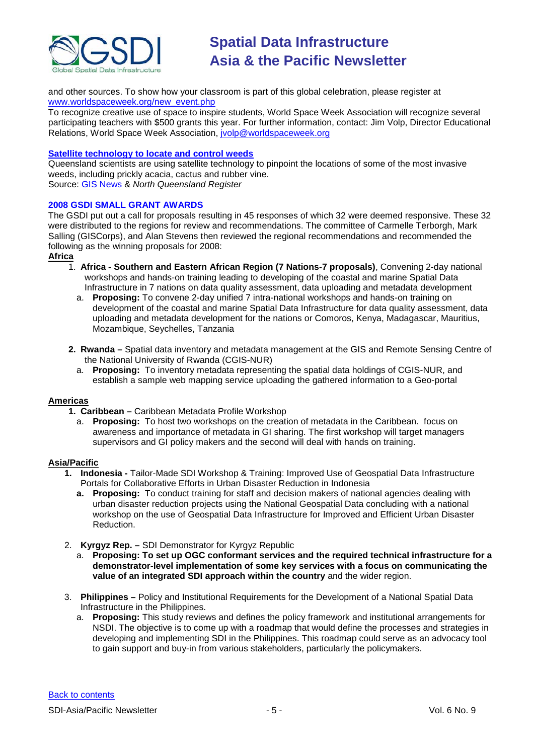

and other sources. To show how your classroom is part of this global celebration, please register at [www.worldspaceweek.org/new\\_event.php](http://www.worldspaceweek.org/new_event.php)

To recognize creative use of space to inspire students, World Space Week Association will recognize several participating teachers with \$500 grants this year. For further information, contact: Jim Volp, Director Educational Relations, World Space Week Association, *jvolp@worldspaceweek.org* 

#### **[Satellite technology to locate and control weeds](http://nqr.farmonline.com.au/news/state/agribusiness-and-general/general/scientists-look-skyward-to-locate-weeds/1601892.aspx?storypage=0)**

Queensland scientists are using satellite technology to pinpoint the locations of some of the most invasive weeds, including prickly acacia, cactus and rubber vine. Source: [GIS News](http://www.gisdevelopment.net/news/viewn.asp?id=GIS:N_dkpjruotmg&Ezine=aug2409§ion=News) & *North Queensland Register*

#### **2008 GSDI SMALL GRANT AWARDS**

The GSDI put out a call for proposals resulting in 45 responses of which 32 were deemed responsive. These 32 were distributed to the regions for review and recommendations. The committee of Carmelle Terborgh, Mark Salling (GISCorps), and Alan Stevens then reviewed the regional recommendations and recommended the following as the winning proposals for 2008:

#### **Africa**

- 1. **Africa - Southern and Eastern African Region (7 Nations-7 proposals)**, Convening 2-day national workshops and hands-on training leading to developing of the coastal and marine Spatial Data Infrastructure in 7 nations on data quality assessment, data uploading and metadata development
	- a. **Proposing:** To convene 2-day unified 7 intra-national workshops and hands-on training on development of the coastal and marine Spatial Data Infrastructure for data quality assessment, data uploading and metadata development for the nations or Comoros, Kenya, Madagascar, Mauritius, Mozambique, Seychelles, Tanzania
- **2. Rwanda –** Spatial data inventory and metadata management at the GIS and Remote Sensing Centre of the National University of Rwanda (CGIS-NUR)
	- a. **Proposing:** To inventory metadata representing the spatial data holdings of CGIS-NUR, and establish a sample web mapping service uploading the gathered information to a Geo-portal

#### **Americas**

- **1. Caribbean –** Caribbean Metadata Profile Workshop
	- a. **Proposing:** To host two workshops on the creation of metadata in the Caribbean. focus on awareness and importance of metadata in GI sharing. The first workshop will target managers supervisors and GI policy makers and the second will deal with hands on training.

#### **Asia/Pacific**

- **1. Indonesia -** Tailor-Made SDI Workshop & Training: Improved Use of Geospatial Data Infrastructure Portals for Collaborative Efforts in Urban Disaster Reduction in Indonesia
	- **a. Proposing:** To conduct training for staff and decision makers of national agencies dealing with urban disaster reduction projects using the National Geospatial Data concluding with a national workshop on the use of Geospatial Data Infrastructure for Improved and Efficient Urban Disaster Reduction.
- 2. **Kyrgyz Rep. –** SDI Demonstrator for Kyrgyz Republic
	- a. **Proposing: To set up OGC conformant services and the required technical infrastructure for a demonstrator-level implementation of some key services with a focus on communicating the value of an integrated SDI approach within the country** and the wider region.
- 3. **Philippines –** Policy and Institutional Requirements for the Development of a National Spatial Data Infrastructure in the Philippines.
	- a. **Proposing:** This study reviews and defines the policy framework and institutional arrangements for NSDI. The objective is to come up with a roadmap that would define the processes and strategies in developing and implementing SDI in the Philippines. This roadmap could serve as an advocacy tool to gain support and buy-in from various stakeholders, particularly the policymakers.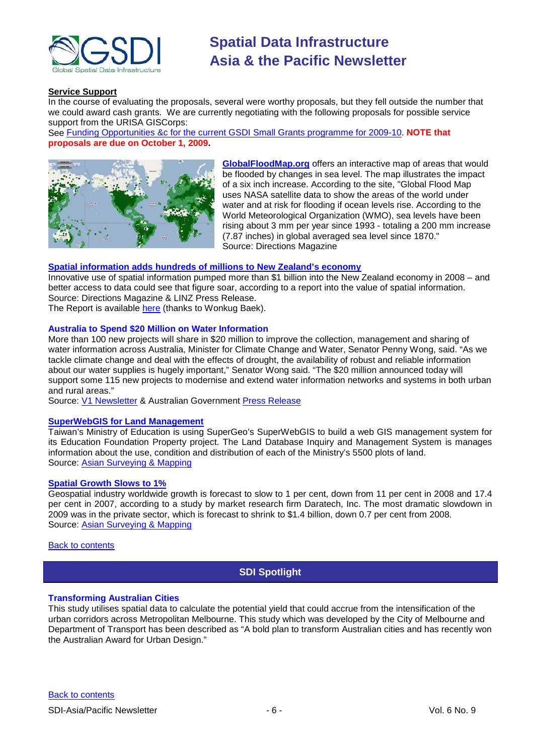

#### **Service Support**

In the course of evaluating the proposals, several were worthy proposals, but they fell outside the number that we could award cash grants. We are currently negotiating with the following proposals for possible service support from the URISA GISCorps:

See [Funding Opportunities &c for the current GSDI Small Grants](#page-16-0) programme for 2009-10. **NOTE that proposals are due on October 1, 2009.**



**[GlobalFloodMap.org](http://newsletter.directionsmag.com/link.php?M=145624&N=1934&L=27490)** offers an interactive map of areas that would be flooded by changes in sea level. The map illustrates the impact of a six inch increase. According to the site, "Global Flood Map uses NASA satellite data to show the areas of the world under water and at risk for flooding if ocean levels rise. According to the World Meteorological Organization (WMO), sea levels have been rising about 3 mm per year since 1993 - totaling a 200 mm increase (7.87 inches) in global averaged sea level since 1870." Source: Directions Magazine

### **[Spatial information adds hundreds of millions to New Zealand's economy](http://www.directionsmag.com/press.releases/?duty=Show&id=36468)**

Innovative use of spatial information pumped more than \$1 billion into the New Zealand economy in 2008 – and better access to data could see that figure soar, according to a report into the value of spatial information. Source: Directions Magazine & LINZ Press Release.

The Report is available [here](http://www.geospatial.govt.nz/productivityreport) (thanks to Wonkug Baek).

#### **Australia to Spend \$20 Million on Water Information**

More than 100 new projects will share in \$20 million to improve the collection, management and sharing of water information across Australia, Minister for Climate Change and Water, Senator Penny Wong, said. "As we tackle climate change and deal with the effects of drought, the availability of robust and reliable information about our water supplies is hugely important," Senator Wong said. "The \$20 million announced today will support some 115 new projects to modernise and extend water information networks and systems in both urban and rural areas."

Source: [V1 Newsletter](http://www.vector1media.com/headlines/headlines/australia-to-spend-%2420-million-on-water-information/) & Australian Government [Press Release](http://www.environment.gov.au/minister/wong/2009/pubs/mr20090818.pdf)

#### **[SuperWebGIS for Land Management](http://www.supergeotek.com/news.aspx?Type=Company&ID=513)**

Taiwan's Ministry of Education is using SuperGeo's SuperWebGIS to build a web GIS management system for its Education Foundation Property project. The Land Database Inquiry and Management System is manages information about the use, condition and distribution of each of the Ministry's 5500 plots of land. Source: [Asian Surveying & Mapping](http://www.asmmag.com/news)

#### **[Spatial Growth Slows to 1%](http://www.daratech.com/press/releases/2009/091908.html)**

Geospatial industry worldwide growth is forecast to slow to 1 per cent, down from 11 per cent in 2008 and 17.4 per cent in 2007, according to a study by market research firm Daratech, Inc. The most dramatic slowdown in 2009 was in the private sector, which is forecast to shrink to \$1.4 billion, down 0.7 per cent from 2008. Source: [Asian Surveying & Mapping](http://www.asmmag.com/news)

#### <span id="page-5-0"></span>[Back to contents](#page-0-0)

#### **SDI Spotlight**

#### **Transforming Australian Cities**

This study utilises spatial data to calculate the potential yield that could accrue from the intensification of the urban corridors across Metropolitan Melbourne. This study which was developed by the City of Melbourne and Department of Transport has been described as "A bold plan to transform Australian cities and has recently won the Australian Award for Urban Design."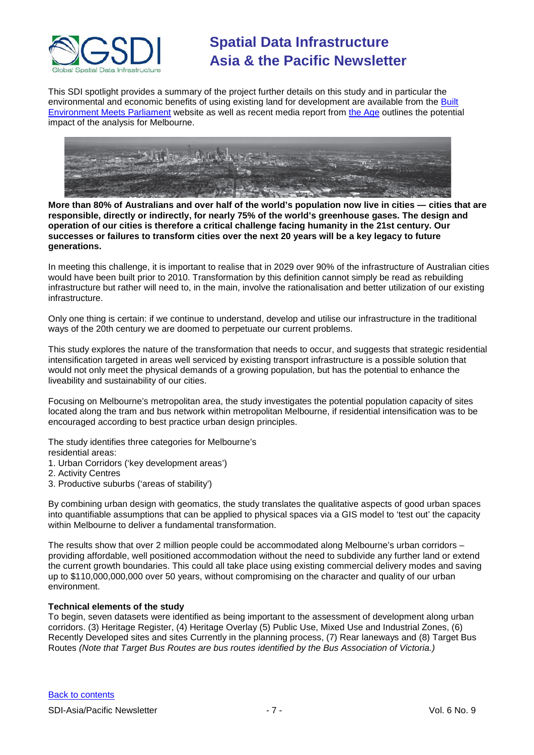

This SDI spotlight provides a summary of the project further details on this study and in particular the environmental and economic benefits of using existing land for development are available from the [Built](http://www.bedp.asn.au/papers/docs/Transforming_Australian_Cities__Report_July_09.PDF)  [Environment Meets Parliament](http://www.bedp.asn.au/papers/docs/Transforming_Australian_Cities__Report_July_09.PDF) website as well as recent media report from [the Age](http://www.theage.com.au/national/home-squeeze-on-suburbs-20090814-el8e.html?skin=text-only) outlines the potential impact of the analysis for Melbourne.



**More than 80% of Australians and over half of the world's population now live in cities — cities that are responsible, directly or indirectly, for nearly 75% of the world's greenhouse gases. The design and operation of our cities is therefore a critical challenge facing humanity in the 21st century. Our successes or failures to transform cities over the next 20 years will be a key legacy to future generations.**

In meeting this challenge, it is important to realise that in 2029 over 90% of the infrastructure of Australian cities would have been built prior to 2010. Transformation by this definition cannot simply be read as rebuilding infrastructure but rather will need to, in the main, involve the rationalisation and better utilization of our existing infrastructure.

Only one thing is certain: if we continue to understand, develop and utilise our infrastructure in the traditional ways of the 20th century we are doomed to perpetuate our current problems.

This study explores the nature of the transformation that needs to occur, and suggests that strategic residential intensification targeted in areas well serviced by existing transport infrastructure is a possible solution that would not only meet the physical demands of a growing population, but has the potential to enhance the liveability and sustainability of our cities.

Focusing on Melbourne's metropolitan area, the study investigates the potential population capacity of sites located along the tram and bus network within metropolitan Melbourne, if residential intensification was to be encouraged according to best practice urban design principles.

The study identifies three categories for Melbourne's

- residential areas:
- 1. Urban Corridors ('key development areas')
- 2. Activity Centres
- 3. Productive suburbs ('areas of stability')

By combining urban design with geomatics, the study translates the qualitative aspects of good urban spaces into quantifiable assumptions that can be applied to physical spaces via a GIS model to 'test out' the capacity within Melbourne to deliver a fundamental transformation.

The results show that over 2 million people could be accommodated along Melbourne's urban corridors – providing affordable, well positioned accommodation without the need to subdivide any further land or extend the current growth boundaries. This could all take place using existing commercial delivery modes and saving up to \$110,000,000,000 over 50 years, without compromising on the character and quality of our urban environment.

#### **Technical elements of the study**

To begin, seven datasets were identified as being important to the assessment of development along urban corridors. (3) Heritage Register, (4) Heritage Overlay (5) Public Use, Mixed Use and Industrial Zones, (6) Recently Developed sites and sites Currently in the planning process, (7) Rear laneways and (8) Target Bus Routes *(Note that Target Bus Routes are bus routes identified by the Bus Association of Victoria.)*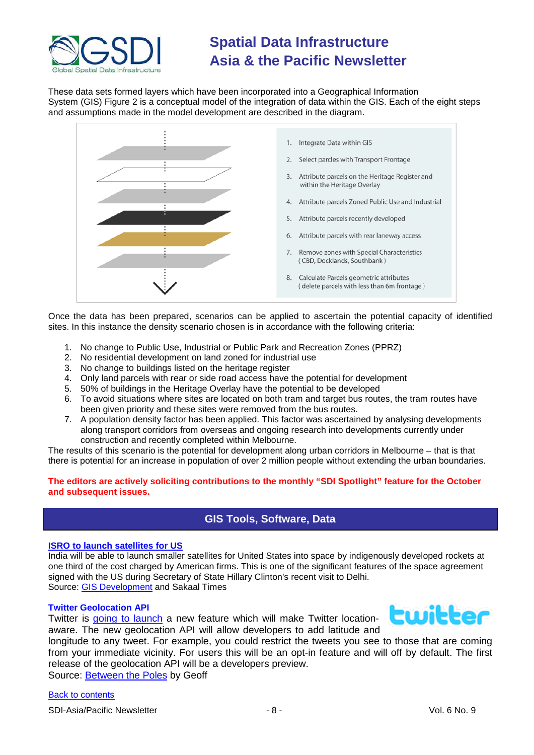

These data sets formed layers which have been incorporated into a Geographical Information System (GIS) Figure 2 is a conceptual model of the integration of data within the GIS. Each of the eight steps and assumptions made in the model development are described in the diagram.



Once the data has been prepared, scenarios can be applied to ascertain the potential capacity of identified sites. In this instance the density scenario chosen is in accordance with the following criteria:

- 1. No change to Public Use, Industrial or Public Park and Recreation Zones (PPRZ)
- 2. No residential development on land zoned for industrial use
- 3. No change to buildings listed on the heritage register
- 4. Only land parcels with rear or side road access have the potential for development
- 5. 50% of buildings in the Heritage Overlay have the potential to be developed
- 6. To avoid situations where sites are located on both tram and target bus routes, the tram routes have been given priority and these sites were removed from the bus routes.
- 7. A population density factor has been applied. This factor was ascertained by analysing developments along transport corridors from overseas and ongoing research into developments currently under construction and recently completed within Melbourne.

The results of this scenario is the potential for development along urban corridors in Melbourne – that is that there is potential for an increase in population of over 2 million people without extending the urban boundaries.

#### <span id="page-7-0"></span>**The editors are actively soliciting contributions to the monthly "SDI Spotlight" feature for the October and subsequent issues.**

### **GIS Tools, Software, Data**

#### **[ISRO to launch satellites for US](http://www.sakaaltimes.com/2009/07/29211658/ISRO-to-launch-US-satellites.html)**

India will be able to launch smaller satellites for United States into space by indigenously developed rockets at one third of the cost charged by American firms. This is one of the significant features of the space agreement signed with the US during Secretary of State Hillary Clinton's recent visit to Delhi.

Source: [GIS Development](http://www.gisdevelopment.net/news/viewn.asp?id=GIS:N_vsnaoyuiec&Ezine=aug0309§ion=News) and Sakaal Times

#### **Twitter Geolocation API**

Twitter is [going to launch](http://blog.twitter.com/2009/08/location-location-location.html) a new feature which will make Twitter locationaware. The new geolocation API will allow developers to add latitude and



longitude to any tweet. For example, you could restrict the tweets you see to those that are coming from your immediate vicinity. For users this will be an opt-in feature and will off by default. The first release of the geolocation API will be a developers preview.

Source: [Between the Poles](http://geospatial.blogs.com/geospatial/2009/08/twitter-geolocation-api.html) by Geoff

[Back to contents](#page-0-0)

SDI-Asia/Pacific Newsletter  $\overline{\phantom{a}}$  - 8 -  $\overline{\phantom{a}}$  -  $\overline{\phantom{a}}$  Vol. 6 No. 9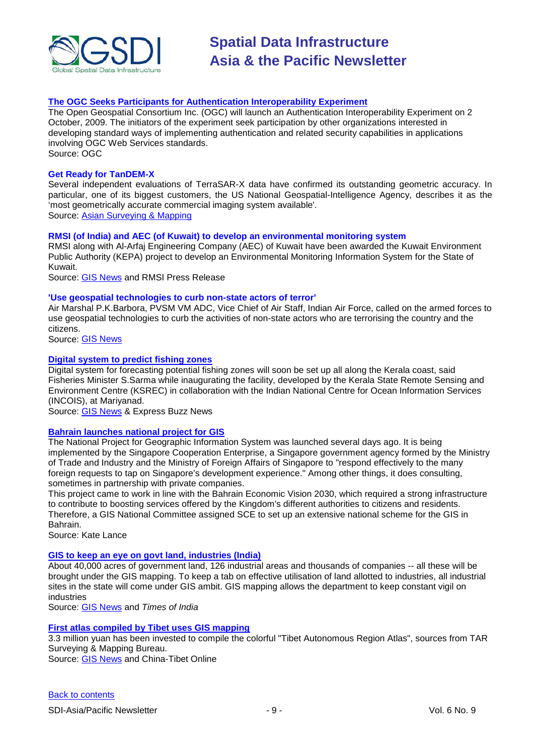

#### **[The OGC Seeks Participants for Authentication Interoperability Experiment](http://www.opengeospatial.org/pressroom/pressreleases/1073)**

The Open Geospatial Consortium Inc. (OGC) will launch an Authentication Interoperability Experiment on 2 October, 2009. The initiators of the experiment seek participation by other organizations interested in developing standard ways of implementing authentication and related security capabilities in applications involving OGC Web Services standards.

Source: OGC

#### **[Get Ready for TanDEM-X](http://www.asmmag.com/news/Terrasar-x)**

Several independent evaluations of TerraSAR-X data have confirmed its outstanding geometric accuracy. In particular, one of its biggest customers, the US National Geospatial-Intelligence Agency, describes it as the 'most geometrically accurate commercial imaging system available'. Source: [Asian Surveying & Mapping](http://www.asmmag.com/news/Terrasar-x)

#### **RMSI (of India) and AEC (of Kuwait) to develop an environmental monitoring system**

RMSI along with Al-Arfaj Engineering Company (AEC) of Kuwait have been awarded the Kuwait Environment Public Authority (KEPA) project to develop an Environmental Monitoring Information System for the State of Kuwait.

Source: [GIS News](http://www.gisdevelopment.net/news/viewn.asp?id=GIS:N_mwpceqzvtf) and RMSI Press Release

#### **'Use geospatial technologies to curb non-state actors of terror'**

Air Marshal P.K.Barbora, PVSM VM ADC, Vice Chief of Air Staff, Indian Air Force, called on the armed forces to use geospatial technologies to curb the activities of non-state actors who are terrorising the country and the citizens.

Source: [GIS News](http://www.gisdevelopment.net/news/viewn.asp?id=GIS:N_kdprsngytx&Ezine=aug0309§ion=News)

#### **[Digital system to predict fishing zones](http://www.expressbuzz.com/edition/story.aspx?Title=Digital+system+to++predict+fis&artid=vuDa2u7EhWg=&SectionID=lMx/b5mt1kU=&MainSectionID=lMx/b5mt1kU=&SEO=&SectionName=tm2kh5uDhixGlQvAG42A/07OVZOOEmts)**

Digital system for forecasting potential fishing zones will soon be set up all along the Kerala coast, said Fisheries Minister S.Sarma while inaugurating the facility, developed by the Kerala State Remote Sensing and Environment Centre (KSREC) in collaboration with the Indian National Centre for Ocean Information Services (INCOIS), at Mariyanad.

Source: [GIS News](http://www.gisdevelopment.net/news/viewn.asp?id=GIS:N_mpicqwuzol&Ezine=aug0309§ion=News) & Express Buzz News

#### **[Bahrain launches national project for GIS](http://english.bna.bh/?ID=80801)**

The National Project for Geographic Information System was launched several days ago. It is being implemented by the Singapore Cooperation Enterprise, a Singapore government agency formed by the Ministry of Trade and Industry and the Ministry of Foreign Affairs of Singapore to "respond effectively to the many foreign requests to tap on Singapore's development experience." Among other things, it does consulting, sometimes in partnership with private companies.

This project came to work in line with the Bahrain Economic Vision 2030, which required a strong infrastructure to contribute to boosting services offered by the Kingdom's different authorities to citizens and residents. Therefore, a GIS National Committee assigned SCE to set up an extensive national scheme for the GIS in Bahrain.

Source: Kate Lance

#### **[GIS to keep an eye on govt land, industries \(India\)](http://timesofindia.indiatimes.com/NEWS/City/Bangalore/GIS-to-keep-an-eye-on-govt-land-industries/articleshow/4831724.cms)**

About 40,000 acres of government land, 126 industrial areas and thousands of companies -- all these will be brought under the GIS mapping. To keep a tab on effective utilisation of land allotted to industries, all industrial sites in the state will come under GIS ambit. GIS mapping allows the department to keep constant vigil on industries

Source: [GIS News](http://www.gisdevelopment.net/news/viewn.asp?id=GIS:N_xuyjqwtgop&Ezine=aug0309§ion=News) and *Times of India*

#### **[First atlas compiled by Tibet uses GIS mapping](http://chinatibet.people.com.cn/6718503.html)**

3.3 million yuan has been invested to compile the colorful "Tibet Autonomous Region Atlas", sources from TAR Surveying & Mapping Bureau.

Source: [GIS News](http://www.gisdevelopment.net/news/viewn.asp?id=GIS:N_xargpmvhjy) and China-Tibet Online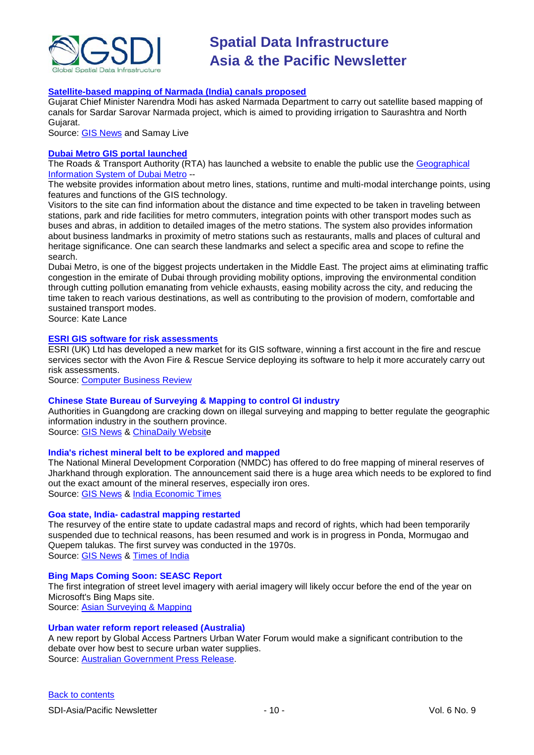

#### **[Satellite-based mapping of Narmada \(India\) canals proposed](http://www.samaylive.com/news/modi-stresses-on-satellitebased-mapping-of-narmada-canals/643049.html)**

Gujarat Chief Minister Narendra Modi has asked Narmada Department to carry out satellite based mapping of canals for Sardar Sarovar Narmada project, which is aimed to providing irrigation to Saurashtra and North Gujarat.

Source: [GIS News](http://www.gisdevelopment.net/news/viewn.asp?id=GIS:N_swkdqfhrvg) and Samay Live

#### **[Dubai Metro GIS portal launched](http://www.menafn.com/qn_news_story_s.asp?StoryId=1093263227)**

The Roads & Transport Authority (RTA) has launched a website to enable the public use the Geographical [Information System of Dubai Metro](http://metrogis.rta.ae/) --

The website provides information about metro lines, stations, runtime and multi-modal interchange points, using features and functions of the GIS technology.

Visitors to the site can find information about the distance and time expected to be taken in traveling between stations, park and ride facilities for metro commuters, integration points with other transport modes such as buses and abras, in addition to detailed images of the metro stations. The system also provides information about business landmarks in proximity of metro stations such as restaurants, malls and places of cultural and heritage significance. One can search these landmarks and select a specific area and scope to refine the search.

Dubai Metro, is one of the biggest projects undertaken in the Middle East. The project aims at eliminating traffic congestion in the emirate of Dubai through providing mobility options, improving the environmental condition through cutting pollution emanating from vehicle exhausts, easing mobility across the city, and reducing the time taken to reach various destinations, as well as contributing to the provision of modern, comfortable and sustained transport modes.

Source: Kate Lance

#### **[ESRI GIS software for risk assessments](http://www.gisdevelopment.net/news/viewn.asp?id=GIS:N_vlywoacxdi&Ezine=aug1009§ion=News)**

ESRI (UK) Ltd has developed a new market for its GIS software, winning a first account in the fire and rescue services sector with the Avon Fire & Rescue Service deploying its software to help it more accurately carry out risk assessments.

Source: [Computer Business Review](http://www.cbronline.com/news/fire_service_starts_out_with_gis_030809)

#### **Chinese State Bureau of Surveying & Mapping to control GI industry**

Authorities in Guangdong are cracking down on illegal surveying and mapping to better regulate the geographic information industry in the southern province.

Source: [GIS News](http://www.gisdevelopment.net/news/viewn.asp?id=GIS:N_jpegukasit) & [ChinaDaily Website](http://www.chinadaily.com.cn/china/2009-08/11/content_8552513.htm)

#### **India's richest mineral belt to be explored and mapped**

The National Mineral Development Corporation (NMDC) has offered to do free mapping of mineral reserves of Jharkhand through exploration. The announcement said there is a huge area which needs to be explored to find out the exact amount of the mineral reserves, especially iron ores. Source: [GIS News](http://www.gisdevelopment.net/news/viewn.asp?id=GIS:N_ahixsrwpco&Ezine=aug1009§ion=News) & [India Economic Times](http://economictimes.indiatimes.com/News/News-By-Industry/NMDC-to-conduct-free-mapping-of-Jharkhands-mineral-reserves/articleshow/4857296.cms)

#### **Goa state, India- cadastral mapping restarted**

The resurvey of the entire state to update cadastral maps and record of rights, which had been temporarily suspended due to technical reasons, has been resumed and work is in progress in Ponda, Mormugao and Quepem talukas. The first survey was conducted in the 1970s. Source: [GIS News](http://www.gisdevelopment.net/news/viewn.asp?id=GIS:N_lvidtwzfsm&Ezine=aug1009§ion=News) & [Times of India](http://timesofindia.indiatimes.com/articleshow/4835769.cms)

#### **Bing Maps Coming Soon: SEASC Report**

The first integration of street level imagery with aerial imagery will likely occur before the end of the year on Microsoft's Bing Maps site. Source: [Asian Surveying & Mapping](http://www.asmmag.com/news/bing-maps-coming-soon)

#### **Urban water reform report released (Australia)**

A new report by Global Access Partners Urban Water Forum would make a significant contribution to the debate over how best to secure urban water supplies. Source: [Australian Government Press Release.](http://www.environment.gov.au/minister/kelly/2009/mr20090804.html)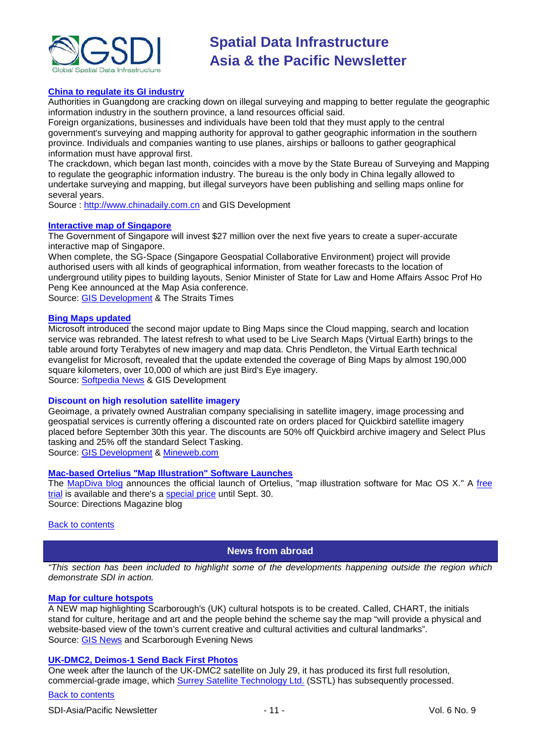

#### **[China to regulate its GI industry](http://www.gisdevelopment.net/news/viewn.asp?id=GIS:N_jpegukasit&Ezine=aug1709§ion=News)**

Authorities in Guangdong are cracking down on illegal surveying and mapping to better regulate the geographic information industry in the southern province, a land resources official said.

Foreign organizations, businesses and individuals have been told that they must apply to the central government's surveying and mapping authority for approval to gather geographic information in the southern province. Individuals and companies wanting to use planes, airships or balloons to gather geographical information must have approval first.

The crackdown, which began last month, coincides with a move by the State Bureau of Surveying and Mapping to regulate the geographic information industry. The bureau is the only body in China legally allowed to undertake surveying and mapping, but illegal surveyors have been publishing and selling maps online for several years.

Source : [http://www.chinadaily.com.cn](http://www.chinadaily.com.cn/china/2009-08/11/content_8552513.htm) and GIS Development

#### **[Interactive map of Singapore](http://www.straitstimes.com/Breaking+News/Singapore/Story/STIStory_418175.html)**

The Government of Singapore will invest \$27 million over the next five years to create a super-accurate interactive map of Singapore.

When complete, the SG-Space (Singapore Geospatial Collaborative Environment) project will provide authorised users with all kinds of geographical information, from weather forecasts to the location of underground utility pipes to building layouts, Senior Minister of State for Law and Home Affairs Assoc Prof Ho Peng Kee announced at the Map Asia conference.

Source: [GIS Development](http://www.gisdevelopment.net/news/viewn.asp?id=GIS:N_eajdhpbovg) & The Straits Times

#### **[Bing Maps updated](http://www.gisdevelopment.net/news/viewn.asp?id=GIS:N_tvowzkfyab&Ezine=aug1709§ion=News)**

Microsoft introduced the second major update to Bing Maps since the Cloud mapping, search and location service was rebranded. The latest refresh to what used to be Live Search Maps (Virtual Earth) brings to the table around forty Terabytes of new imagery and map data. Chris Pendleton, the Virtual Earth technical evangelist for Microsoft, revealed that the update extended the coverage of Bing Maps by almost 190,000 square kilometers, over 10,000 of which are just Bird's Eye imagery. Source: [Softpedia News](http://tinyurl.com/mnnfax) & GIS Development

#### **Discount on high resolution satellite imagery**

Geoimage, a privately owned Australian company specialising in satellite imagery, image processing and geospatial services is currently offering a discounted rate on orders placed for Quickbird satellite imagery placed before September 30th this year. The discounts are 50% off Quickbird archive imagery and Select Plus tasking and 25% off the standard Select Tasking.

Source: [GIS Development](http://www.gisdevelopment.net/news/viewn.asp?id=GIS:N_emtxdypvso&Ezine=aug1709§ion=News) & [Mineweb.com](http://www.mineweb.net/mineweb/view/mineweb/en/page72558?oid=87378&sn=Detail)

#### **[Mac-based Ortelius "Map Illustration" Software Launches](http://apb.directionsmag.com/archives/6350-Mac-based-Ortelius-Map-Illustration-Software-Launches.html)**

The [MapDiva blog](http://www.mapdiva.com/2009/08/ortelius-has-launched/) announces the official launch of Ortelius, "map illustration software for Mac OS X." A [free](http://www.mapdiva.com/download/)  [trial](http://www.mapdiva.com/download/) is available and there's a [special price](http://www.mapdiva.com/products-page/) until Sept. 30. Source: Directions Magazine blog

#### <span id="page-10-0"></span>**[Back to contents](#page-0-0)**

### **News from abroad**

*"This section has been included to highlight some of the developments happening outside the region which demonstrate SDI in action.*

#### **[Map for culture hotspots](http://www.scarborougheveningnews.co.uk/news/Map-created-for-culture-hotspots.5518933.jp)**

A NEW map highlighting Scarborough's (UK) cultural hotspots is to be created. Called, CHART, the initials stand for culture, heritage and art and the people behind the scheme say the map "will provide a physical and website-based view of the town's current creative and cultural activities and cultural landmarks". Source: [GIS News](http://www.gisdevelopment.net/news/viewn.asp?id=GIS:N_lpnduhbyfj) and Scarborough Evening News

#### **[UK-DMC2, Deimos-1 Send Back First Photos](http://www.gpsworld.com/gis/earth-imaging-and-remote-sensing/news/uk-dmc2-deimos-1-send-back-first-photos-8705)**

One week after the launch of the UK-DMC2 satellite on July 29, it has produced its first full resolution, commercial-grade image, which [Surrey Satellite Technology Ltd.](http://www.sst-us.com/) (SSTL) has subsequently processed.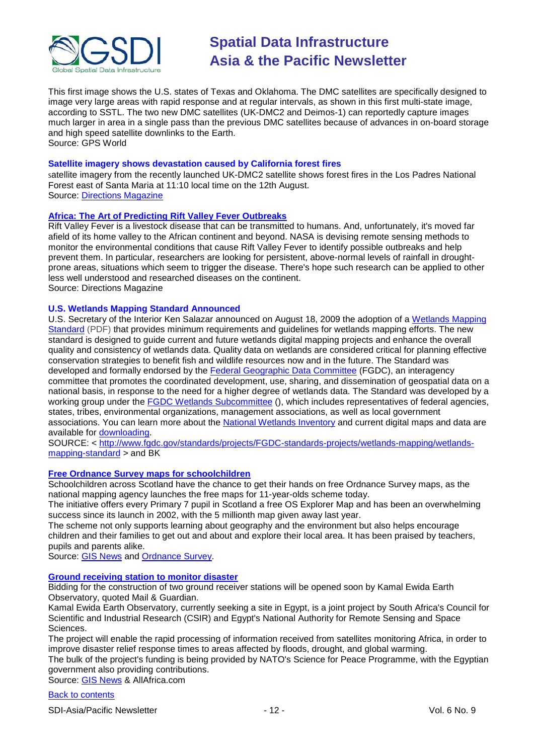

This first image shows the U.S. states of Texas and Oklahoma. The DMC satellites are specifically designed to image very large areas with rapid response and at regular intervals, as shown in this first multi-state image, according to SSTL. The two new DMC satellites (UK-DMC2 and Deimos-1) can reportedly capture images much larger in area in a single pass than the previous DMC satellites because of advances in on-board storage and high speed satellite downlinks to the Earth. Source: GPS World

#### **Satellite imagery shows devastation caused by California forest fires**

satellite imagery from the recently launched UK-DMC2 satellite shows forest fires in the Los Padres National Forest east of Santa Maria at 11:10 local time on the 12th August. Source: [Directions Magazine](http://www.directionsmag.com/press.releases/?duty=Show&id=36171)

**[Africa: The Art of Predicting Rift Valley Fever Outbreaks](http://www.directionsmag.com/article.php?article_id=3251)** Rift Valley Fever is a livestock disease that can be transmitted to humans. And, unfortunately, it's moved far afield of its home valley to the African continent and beyond. NASA is devising remote sensing methods to monitor the environmental conditions that cause Rift Valley Fever to identify possible outbreaks and help prevent them. In particular, researchers are looking for persistent, above-normal levels of rainfall in droughtprone areas, situations which seem to trigger the disease. There's hope such research can be applied to other less well understood and researched diseases on the continent. Source: Directions Magazine

#### **U.S. Wetlands Mapping Standard Announced**

U.S. Secretary of the Interior Ken Salazar announced on August 18, 2009 the adoption of a [Wetlands Mapping](http://www.fgdc.gov/standards/projects/FGDC-standards-projects/wetlands-mapping/2009-08%20FGDC%20Wetlands%20Mapping%20Standard_final.pdf)  [Standard](http://www.fgdc.gov/standards/projects/FGDC-standards-projects/wetlands-mapping/2009-08%20FGDC%20Wetlands%20Mapping%20Standard_final.pdf) (PDF) that provides minimum requirements and guidelines for wetlands mapping efforts. The new standard is designed to guide current and future wetlands digital mapping projects and enhance the overall quality and consistency of wetlands data. Quality data on wetlands are considered critical for planning effective conservation strategies to benefit fish and wildlife resources now and in the future. The Standard was developed and formally endorsed by the **Federal Geographic Data Committee** (FGDC), an interagency committee that promotes the coordinated development, use, sharing, and dissemination of geospatial data on a national basis, in response to the need for a higher degree of wetlands data. The Standard was developed by a working group under the [FGDC Wetlands Subcommittee](http://www.fws.gov/wetlands/wetlandslayer/wetlandssubcommittee.html) (), which includes representatives of federal agencies, states, tribes, environmental organizations, management associations, as well as local government associations. You can learn more about the [National Wetlands Inventory](http://www.fws.gov/wetlands) and current digital maps and data are available for [downloading.](http://www.fws.gov/wetlands/data)

SOURCE: < [http://www.fgdc.gov/standards/projects/FGDC-standards-projects/wetlands-mapping/wetlands](http://www.fgdc.gov/standards/projects/FGDC-standards-projects/wetlands-mapping/wetlands-mapping-standard)[mapping-standard](http://www.fgdc.gov/standards/projects/FGDC-standards-projects/wetlands-mapping/wetlands-mapping-standard) > and BK

#### **[Free Ordnance Survey maps for schoolchildren](http://www.ordnancesurvey.co.uk/oswebsite/media/news/2009/august/freemaps.html)**

Schoolchildren across Scotland have the chance to get their hands on free Ordnance Survey maps, as the national mapping agency launches the free maps for 11-year-olds scheme today.

The initiative offers every Primary 7 pupil in Scotland a free OS Explorer Map and has been an overwhelming success since its launch in 2002, with the 5 millionth map given away last year.

The scheme not only supports learning about geography and the environment but also helps encourage children and their families to get out and about and explore their local area. It has been praised by teachers, pupils and parents alike.

Source: [GIS News](http://www.gisdevelopment.net/news/viewn.asp?id=GIS:N_clqaoxjymz&Ezine=aug2409§ion=News) and [Ordnance Survey.](http://www.ordnancesurvey.co.uk/)

#### **[Ground receiving station to monitor disaster](http://allafrica.com/stories/200908190422.html)**

Bidding for the construction of two ground receiver stations will be opened soon by Kamal Ewida Earth Observatory, quoted Mail & Guardian.

Kamal Ewida Earth Observatory, currently seeking a site in Egypt, is a joint project by South Africa's Council for Scientific and Industrial Research (CSIR) and Egypt's National Authority for Remote Sensing and Space Sciences.

The project will enable the rapid processing of information received from satellites monitoring Africa, in order to improve disaster relief response times to areas affected by floods, drought, and global warming.

The bulk of the project's funding is being provided by NATO's Science for Peace Programme, with the Egyptian government also providing contributions.

Source: [GIS News](http://www.gisdevelopment.net/news/viewn.asp?id=GIS:N_zqepawubkf&Ezine=aug2409§ion=News) & AllAfrica.com

[Back to contents](#page-0-0)

SDI-Asia/Pacific Newsletter  $\sim$  12 - 12 - Vol. 6 No. 9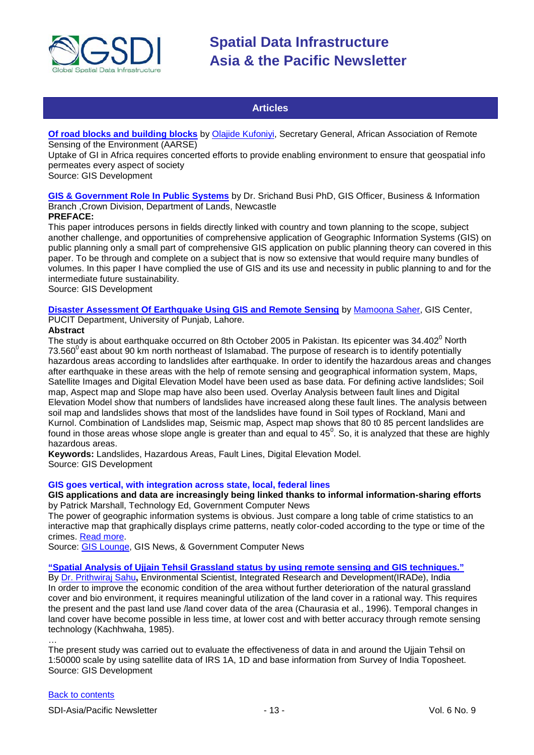

### **Articles**

<span id="page-12-0"></span>**[Of road blocks and building blocks](http://www.gisdevelopment.net/magazine/global/2009/july/18.htm)** by [Olajide Kufoniyi,](mailto:jidekufoniyi@yahoo.com) Secretary General, African Association of Remote Sensing of the Environment (AARSE)

Uptake of GI in Africa requires concerted efforts to provide enabling environment to ensure that geospatial info permeates every aspect of society

Source: GIS Development

**[GIS & Government Role In Public Systems](http://www.gisdevelopment.net/application/environment/pp/gis_gov.htm)** by Dr. Srichand Busi PhD, GIS Officer, Business & Information Branch ,Crown Division, Department of Lands, Newcastle

#### **PREFACE:**

This paper introduces persons in fields directly linked with country and town planning to the scope, subject another challenge, and opportunities of comprehensive application of Geographic Information Systems (GIS) on public planning only a small part of comprehensive GIS application on public planning theory can covered in this paper. To be through and complete on a subject that is now so extensive that would require many bundles of volumes. In this paper I have complied the use of GIS and its use and necessity in public planning to and for the intermediate future sustainability.

Source: GIS Development

#### **[Disaster Assessment Of Earthquake Using GIS and Remote Sensing](http://www.gisdevelopment.net/application/natural_hazards/earthquakes/mamoona.htm)** by Mamoona Saher, GIS Center,

PUCIT Department, University of Punjab, Lahore.

#### **Abstract**

The study is about earthquake occurred on 8th October 2005 in Pakistan. Its epicenter was  $34.402^{\circ}$  North 73.560 $^{\circ}$  east about 90 km north northeast of Islamabad. The purpose of research is to identify potentially hazardous areas according to landslides after earthquake. In order to identify the hazardous areas and changes after earthquake in these areas with the help of remote sensing and geographical information system, Maps, Satellite Images and Digital Elevation Model have been used as base data. For defining active landslides; Soil map, Aspect map and Slope map have also been used. Overlay Analysis between fault lines and Digital Elevation Model show that numbers of landslides have increased along these fault lines. The analysis between soil map and landslides shows that most of the landslides have found in Soil types of Rockland, Mani and Kurnol. Combination of Landslides map, Seismic map, Aspect map shows that 80 t0 85 percent landslides are found in those areas whose slope angle is greater than and equal to 45 $^{\rm o}$ . So, it is analyzed that these are highly hazardous areas.

**Keywords:** Landslides, Hazardous Areas, Fault Lines, Digital Elevation Model. Source: GIS Development

#### **GIS goes vertical, with integration across state, local, federal lines**

#### **GIS applications and data are increasingly being linked thanks to informal information-sharing efforts** by Patrick Marshall, Technology Ed, Government Computer News

The power of geographic information systems is obvious. Just compare a long table of crime statistics to an interactive map that graphically displays crime patterns, neatly color-coded according to the type or time of the crimes. [Read more.](http://gcn.com/articles/2009/08/10/gis-integration-state-local-federal.aspx)

Source: [GIS Lounge,](http://gislounge.com/gis-integration-in-government/) GIS News, & Government Computer News

#### **["Spatial Analysis of Ujjain Tehsil Grassland status by using remote sensing and GIS techniques."](http://www.gisdevelopment.net/application/environment/conservation/prithwiraj_sahu.htm)**

By [Dr. Prithwiraj Sahu](mailto:prithwi2@rediffmail.com)**,** Environmental Scientist, Integrated Research and Development(IRADe), India In order to improve the economic condition of the area without further deterioration of the natural grassland cover and bio environment, it requires meaningful utilization of the land cover in a rational way. This requires the present and the past land use /land cover data of the area (Chaurasia et al., 1996). Temporal changes in land cover have become possible in less time, at lower cost and with better accuracy through remote sensing technology (Kachhwaha, 1985).

…

The present study was carried out to evaluate the effectiveness of data in and around the Ujjain Tehsil on 1:50000 scale by using satellite data of IRS 1A, 1D and base information from Survey of India Toposheet. Source: GIS Development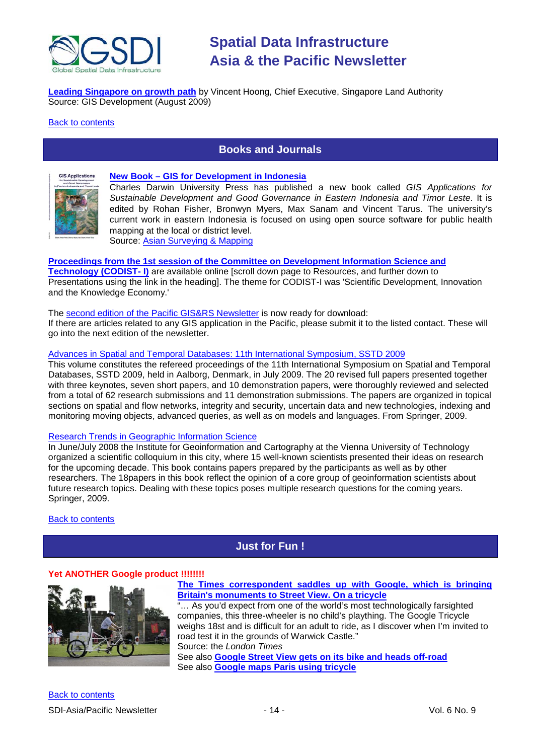

**[Leading Singapore on growth path](http://www.gisdevelopment.net/magazine/global/2009/august/18.htm)** by Vincent Hoong, Chief Executive, Singapore Land Authority Source: GIS Development (August 2009)

#### <span id="page-13-0"></span>**[Back to contents](#page-0-0)**

### **Books and Journals**



#### **New Book – [GIS for Development in Indonesia](http://www.cdu.edu.au/cdupress/books/gis-applications-for.htm)**

Charles Darwin University Press has published a new book called *GIS Applications for Sustainable Development and Good Governance in Eastern Indonesia and Timor Leste*. It is edited by Rohan Fisher, Bronwyn Myers, Max Sanam and Vincent Tarus. The university's current work in eastern Indonesia is focused on using open source software for public health mapping at the local or district level. Source: [Asian Surveying & Mapping](http://www.asmmag.com/news/new-book-gis-for-development-in-indonesia)

#### **[Proceedings from the 1st session of the Committee on Development Information Science and](http://www.uneca.org/codist/codist1.asp)  [Technology \(CODIST-](http://www.uneca.org/codist/codist1.asp) I)** are available online [scroll down page to Resources, and further down to Presentations using the link in the heading]. The theme for CODIST-I was 'Scientific Development, Innovation and the Knowledge Economy.'

#### The [second edition of the Pacific GIS&RS Newsletter](http://www.picisoc.org/tiki-download_file.php?fileId=132) is now ready for download:

If there are articles related to any GIS application in the Pacific, please submit it to the listed contact. These will go into the next edition of the newsletter.

#### [Advances in Spatial and Temporal Databases: 11th International Symposium, SSTD 2009](http://newsletter.directionsmag.com/link.php?M=145624&N=1930&L=27466)

This volume constitutes the refereed proceedings of the 11th International Symposium on Spatial and Temporal Databases, SSTD 2009, held in Aalborg, Denmark, in July 2009. The 20 revised full papers presented together with three keynotes, seven short papers, and 10 demonstration papers, were thoroughly reviewed and selected from a total of 62 research submissions and 11 demonstration submissions. The papers are organized in topical sections on spatial and flow networks, integrity and security, uncertain data and new technologies, indexing and monitoring moving objects, advanced queries, as well as on models and languages. From Springer, 2009.

#### [Research Trends in Geographic Information Science](http://newsletter.directionsmag.com/link.php?M=145624&N=1930&L=27468)

In June/July 2008 the Institute for Geoinformation and Cartography at the Vienna University of Technology organized a scientific colloquium in this city, where 15 well-known scientists presented their ideas on research for the upcoming decade. This book contains papers prepared by the participants as well as by other researchers. The 18papers in this book reflect the opinion of a core group of geoinformation scientists about future research topics. Dealing with these topics poses multiple research questions for the coming years. Springer, 2009.

<span id="page-13-1"></span>[Back to contents](#page-0-0)

### **Just for Fun !**

#### **Yet ANOTHER Google product !!!!!!!!**



**[The Times correspondent saddles up with Google, which is bringing](http://technology.timesonline.co.uk/tol/news/tech_and_web/article6737517.ece)  [Britain's monuments to Street View. On a tricycle](http://technology.timesonline.co.uk/tol/news/tech_and_web/article6737517.ece)**

"… As you'd expect from one of the world's most technologically farsighted companies, this three-wheeler is no child's plaything. The Google Tricycle weighs 18st and is difficult for an adult to ride, as I discover when I'm invited to road test it in the grounds of Warwick Castle." Source: the *London Times* See also **[Google Street View gets on its bike and heads off-road](http://technology.timesonline.co.uk/tol/news/tech_and_web/article6702161.ece)**

See also **[Google maps Paris using tricycle](http://www.google.com/hostednews/ap/article/ALeqM5jhkQb2j2GX-YJcuJHM9Kd6UcMeyQD99U56S80)**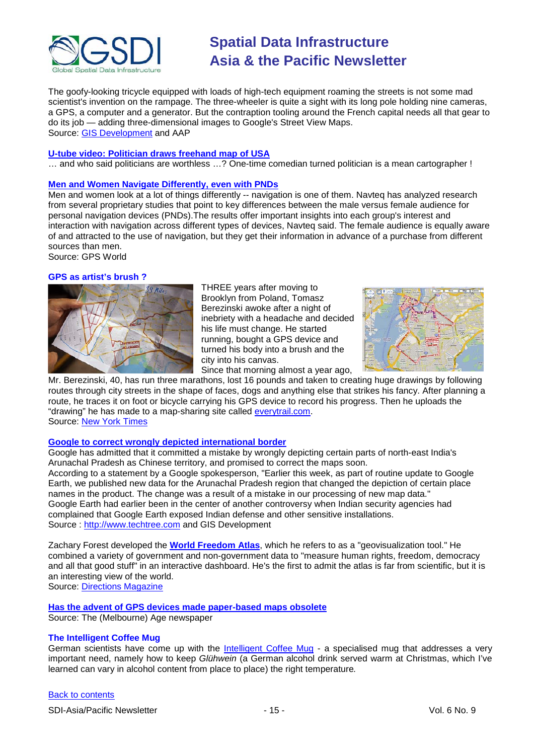

The goofy-looking tricycle equipped with loads of high-tech equipment roaming the streets is not some mad scientist's invention on the rampage. The three-wheeler is quite a sight with its long pole holding nine cameras, a GPS, a computer and a generator. But the contraption tooling around the French capital needs all that gear to do its job — adding three-dimensional images to Google's Street View Maps. Source: [GIS Development](http://www.gisdevelopment.net/news/viewn.asp?id=GIS:N_twivgdmyqf&Ezine=aug1709§ion=News) and AAP

#### **U-tube video: [Politician draws freehand map of USA](http://www.youtube.com/watch?v=2HfcrqXtxOM&eurl=http%3A%2F%2Fminnesotaindependent.com%2F41634%2Ffranken-begich-alaska-hawaii-map-draw-usa&feature=player_embedded)**

… and who said politicians are worthless …? One-time comedian turned politician is a mean cartographer !

#### **[Men and Women Navigate Differently, even with PNDs](http://www.gpsworld.com/consumer-oem/news/men-and-women-navigate-differently-even-with-pnds-8716)**

Men and women look at a lot of things differently -- navigation is one of them. Navteg has analyzed research from several proprietary studies that point to key differences between the male versus female audience for personal navigation devices (PNDs).The results offer important insights into each group's interest and interaction with navigation across different types of devices, Navteq said. The female audience is equally aware of and attracted to the use of navigation, but they get their information in advance of a purchase from different sources than men. Source: GPS World

### **GPS as artist's brush ?**



THREE years after moving to Brooklyn from Poland, Tomasz Berezinski awoke after a night of inebriety with a headache and decided his life must change. He started running, bought a GPS device and turned his body into a brush and the city into his canvas.



Since that morning almost a year ago,

Mr. Berezinski, 40, has run three marathons, lost 16 pounds and taken to creating huge drawings by following routes through city streets in the shape of faces, dogs and anything else that strikes his fancy. After planning a route, he traces it on foot or bicycle carrying his GPS device to record his progress. Then he uploads the "drawing" he has made to a map-sharing site called [everytrail.com.](http://www.everytrail.com/profile.php?user_id=18531) Source: [New York Times](http://www.nytimes.com/2009/08/20/fashion/20GPS.html?ref=global-home)

#### **[Google to correct wrongly depicted international border](http://www.gisdevelopment.net/news/viewn.asp?id=GIS:N_yuxdewnapb&Ezine=aug1709§ion=News)**

Google has admitted that it committed a mistake by wrongly depicting certain parts of north-east India's Arunachal Pradesh as Chinese territory, and promised to correct the maps soon. According to a statement by a Google spokesperson, "Earlier this week, as part of routine update to Google Earth, we published new data for the Arunachal Pradesh region that changed the depiction of certain place

names in the product. The change was a result of a mistake in our processing of new map data." Google Earth had earlier been in the center of another controversy when Indian security agencies had complained that Google Earth exposed Indian defense and other sensitive installations. Source : [http://www.techtree.com](http://tinyurl.com/lm5mnw) and GIS Development

Zachary Forest developed the **[World Freedom Atlas](http://www.mcwetboy.net/maproom/2009/08/world_freedom_a.php)**, which he refers to as a "geovisualization tool." He combined a variety of government and non-government data to "measure human rights, freedom, democracy and all that good stuff" in an interactive dashboard. He's the first to admit the atlas is far from scientific, but it is an interesting view of the world.

Source: [Directions Magazine](http://www.directionsmedia.net/newsletters.archive/index.php?ID=1468)

### **[Has the advent of GPS devices made paper-based maps obsolete](http://www.theage.com.au/national/rumours-of-the-death-of-paper-maps-exaggerated-20090823-ev3j.html)**

Source: The (Melbourne) Age newspaper

#### **The Intelligent Coffee Mug**

German scientists have come up with the *Intelligent Coffee Mug - a specialised mug that addresses a very* important need, namely how to keep *Glühwein* (a German alcohol drink served warm at Christmas, which I've learned can vary in alcohol content from place to place) the right temperature*.*

#### [Back to contents](#page-0-0)

SDI-Asia/Pacific Newsletter  $\overline{ }$  15 -  $\overline{ }$  15 - Vol. 6 No. 9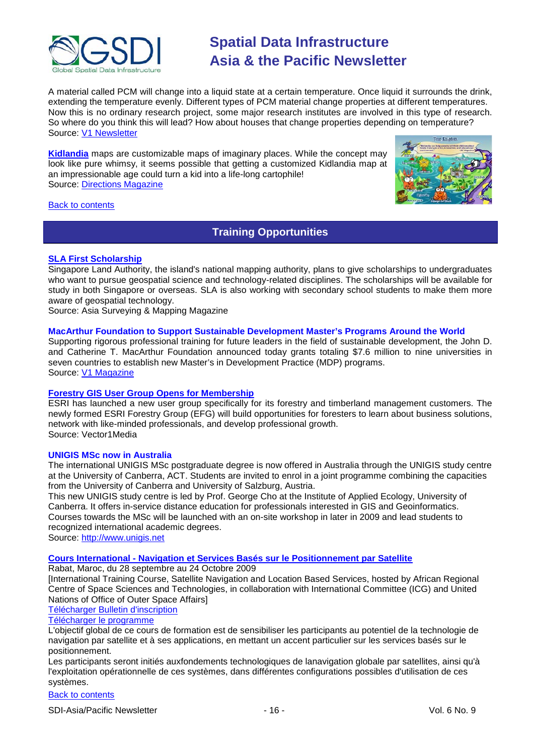

A material called PCM will change into a liquid state at a certain temperature. Once liquid it surrounds the drink, extending the temperature evenly. Different types of PCM material change properties at different temperatures. Now this is no ordinary research project, some major research institutes are involved in this type of research. So where do you think this will lead? How about houses that change properties depending on temperature? Source: [V1 Newsletter](http://vector1media.com/vectorone/?p=3482)

**[Kidlandia](http://www.kidlandia.com/)** maps are customizable maps of imaginary places. While the concept may look like pure whimsy, it seems possible that getting a customized Kidlandia map at an impressionable age could turn a kid into a life-long cartophile! Source: [Directions Magazine](http://www.directionsmedia.net/newsletters.archive/index.php?ID=1476)



### <span id="page-15-0"></span>[Back to contents](#page-0-0)

### **Training Opportunities**

#### **[SLA First Scholarship](http://www.asmmag.com/news/sla-first-scholarship)**

Singapore Land Authority, the island's national mapping authority, plans to give scholarships to undergraduates who want to pursue geospatial science and technology-related disciplines. The scholarships will be available for study in both Singapore or overseas. SLA is also working with secondary school students to make them more aware of geospatial technology.

Source: Asia Surveying & Mapping Magazine

#### **MacArthur Foundation to Support Sustainable Development Master's Programs Around the World**

Supporting rigorous professional training for future leaders in the field of sustainable development, the John D. and Catherine T. MacArthur Foundation announced today grants totaling \$7.6 million to nine universities in seven countries to establish new Master's in Development Practice (MDP) programs. Source: V1 [Magazine](http://www.vector1media.com/top-stories/corporate-news/macarthur-to-support-sustainable-development-master%92s-programs-around-the-world/)

#### **[Forestry GIS User Group Opens for Membership](http://www.vector1media.com/top-stories/corporate-news/forestry-gis-user-group-opens-for-membership/)**

ESRI has launched a new user group specifically for its forestry and timberland management customers. The newly formed ESRI Forestry Group (EFG) will build opportunities for foresters to learn about business solutions, network with like-minded professionals, and develop professional growth. Source: Vector1Media

#### **UNIGIS MSc now in Australia**

The international UNIGIS MSc postgraduate degree is now offered in Australia through the UNIGIS study centre at the University of Canberra, ACT. Students are invited to enrol in a joint programme combining the capacities from the University of Canberra and University of Salzburg, Austria.

This new UNIGIS study centre is led by Prof. George Cho at the Institute of Applied Ecology, University of Canberra. It offers in-service distance education for professionals interested in GIS and Geoinformatics. Courses towards the MSc will be launched with an on-site workshop in later in 2009 and lead students to recognized international academic degrees.

Source: [http://www.unigis.net](http://www.unigis.net/)

### **Cours International - [Navigation et Services Basés sur le Positionnement par Satellite](http://www.enssup.gov.ma/craste/index.php?option=com_content&task=view&id=29&Itemid=1)**

Rabat, Maroc, du 28 septembre au 24 Octobre 2009

[International Training Course, Satellite Navigation and Location Based Services, hosted by African Regional Centre of Space Sciences and Technologies, in collaboration with International Committee (ICG) and United Nations of Office of Outer Space Affairs]

### [Télécharger Bulletin d'inscription](http://www.enssup.gov.ma/craste/media/bulletin_inscription.rtf)

#### [Télécharger le programme](http://www.enssup.gov.ma/craste/images/craste_web/programme1.pdf)

L'objectif global de ce cours de formation est de sensibiliser les participants au potentiel de la technologie de navigation par satellite et à ses applications, en mettant un accent particulier sur les services basés sur le positionnement.

Les participants seront initiés auxfondements technologiques de lanavigation globale par satellites, ainsi qu'à l'exploitation opérationnelle de ces systèmes, dans différentes configurations possibles d'utilisation de ces systèmes.

#### [Back to contents](#page-0-0)

SDI-Asia/Pacific Newsletter  $\sim$  16 - 16 - Vol. 6 No. 9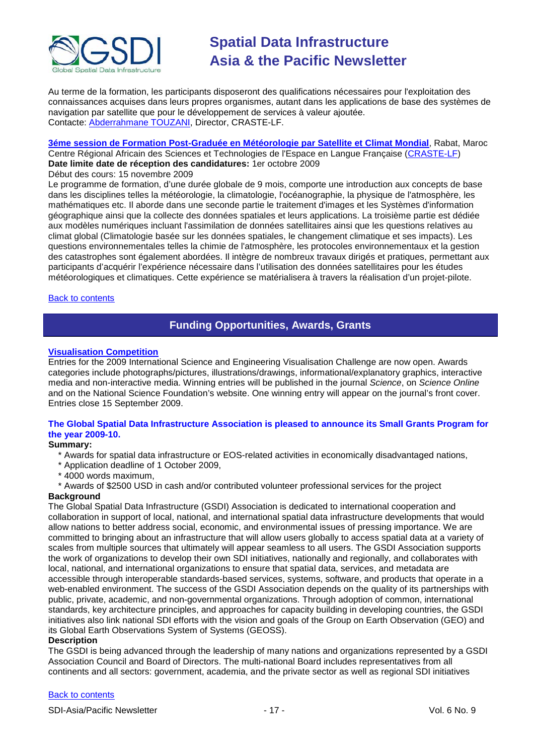

Au terme de la formation, les participants disposeront des qualifications nécessaires pour l'exploitation des connaissances acquises dans leurs propres organismes, autant dans les applications de base des systèmes de navigation par satellite que pour le développement de services à valeur ajoutée. Contacte: [Abderrahmane TOUZANI,](mailto:touzani@emi.ac.ma) Director, CRASTE-LF.

#### **[3éme session de Formation Post-Graduée en Météorologie par Satellite et Climat Mondial](http://www.enssup.gov.ma/craste/media/MSCM_2009_Annonce.rtf)**, Rabat, Maroc Centre Régional Africain des Sciences et Technologies de l'Espace en Langue Française [\(CRASTE-LF\)](http://www.enssup.gov.ma/craste/) **Date limite date de réception des candidatures:** 1er octobre 2009

#### Début des cours: 15 novembre 2009

Le programme de formation, d'une durée globale de 9 mois, comporte une introduction aux concepts de base dans les disciplines telles la météorologie, la climatologie, l'océanographie, la physique de l'atmosphère, les mathématiques etc. Il aborde dans une seconde partie le traitement d'images et les Systèmes d'information géographique ainsi que la collecte des données spatiales et leurs applications. La troisième partie est dédiée aux modèles numériques incluant l'assimilation de données satellitaires ainsi que les questions relatives au climat global (Climatologie basée sur les données spatiales, le changement climatique et ses impacts). Les questions environnementales telles la chimie de l'atmosphère, les protocoles environnementaux et la gestion des catastrophes sont également abordées. Il intègre de nombreux travaux dirigés et pratiques, permettant aux participants d'acquérir l'expérience nécessaire dans l'utilisation des données satellitaires pour les études météorologiques et climatiques. Cette expérience se matérialisera à travers la réalisation d'un projet-pilote.

#### <span id="page-16-0"></span>**[Back to contents](#page-0-0)**

### **Funding Opportunities, Awards, Grants**

#### **[Visualisation Competition](http://www.nsf.gov/news/scivis)**

Entries for the 2009 International Science and Engineering Visualisation Challenge are now open. Awards categories include photographs/pictures, illustrations/drawings, informational/explanatory graphics, interactive media and non-interactive media. Winning entries will be published in the journal *Science*, on *Science Online* and on the National Science Foundation's website. One winning entry will appear on the journal's front cover. Entries close 15 September 2009.

#### **The Global Spatial Data Infrastructure Association is pleased to announce its Small Grants Program for the year 2009-10.**

#### **Summary:**

- \* Awards for spatial data infrastructure or EOS-related activities in economically disadvantaged nations,
- \* Application deadline of 1 October 2009,
- \* 4000 words maximum,
- \* Awards of \$2500 USD in cash and/or contributed volunteer professional services for the project

# **Background**

The Global Spatial Data Infrastructure (GSDI) Association is dedicated to international cooperation and collaboration in support of local, national, and international spatial data infrastructure developments that would allow nations to better address social, economic, and environmental issues of pressing importance. We are committed to bringing about an infrastructure that will allow users globally to access spatial data at a variety of scales from multiple sources that ultimately will appear seamless to all users. The GSDI Association supports the work of organizations to develop their own SDI initiatives, nationally and regionally, and collaborates with local, national, and international organizations to ensure that spatial data, services, and metadata are accessible through interoperable standards-based services, systems, software, and products that operate in a web-enabled environment. The success of the GSDI Association depends on the quality of its partnerships with public, private, academic, and non-governmental organizations. Through adoption of common, international standards, key architecture principles, and approaches for capacity building in developing countries, the GSDI initiatives also link national SDI efforts with the vision and goals of the Group on Earth Observation (GEO) and its Global Earth Observations System of Systems (GEOSS).

#### **Description**

The GSDI is being advanced through the leadership of many nations and organizations represented by a GSDI Association Council and Board of Directors. The multi-national Board includes representatives from all continents and all sectors: government, academia, and the private sector as well as regional SDI initiatives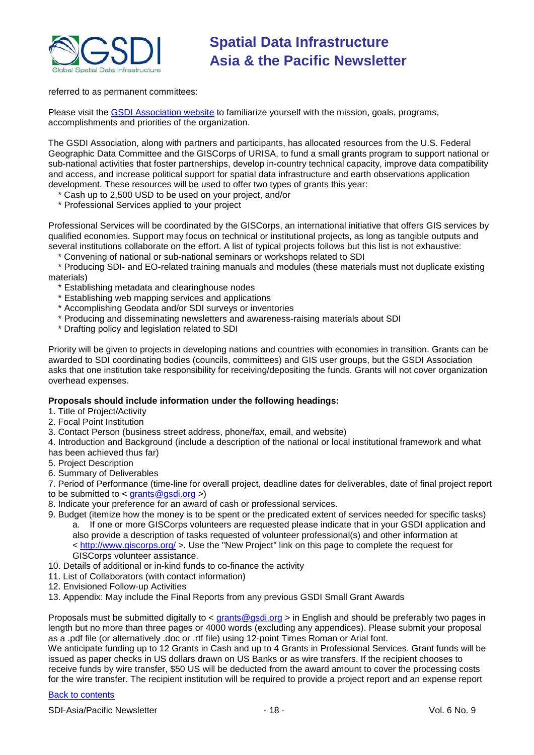

referred to as permanent committees:

Please visit the **GSDI** Association website to familiarize yourself with the mission, goals, programs, accomplishments and priorities of the organization.

The GSDI Association, along with partners and participants, has allocated resources from the U.S. Federal Geographic Data Committee and the GISCorps of URISA, to fund a small grants program to support national or sub-national activities that foster partnerships, develop in-country technical capacity, improve data compatibility and access, and increase political support for spatial data infrastructure and earth observations application development. These resources will be used to offer two types of grants this year:

- \* Cash up to 2,500 USD to be used on your project, and/or
- \* Professional Services applied to your project

Professional Services will be coordinated by the GISCorps, an international initiative that offers GIS services by qualified economies. Support may focus on technical or institutional projects, as long as tangible outputs and several institutions collaborate on the effort. A list of typical projects follows but this list is not exhaustive:

\* Convening of national or sub-national seminars or workshops related to SDI

\* Producing SDI- and EO-related training manuals and modules (these materials must not duplicate existing materials)

- \* Establishing metadata and clearinghouse nodes
- \* Establishing web mapping services and applications
- \* Accomplishing Geodata and/or SDI surveys or inventories
- \* Producing and disseminating newsletters and awareness-raising materials about SDI
- \* Drafting policy and legislation related to SDI

Priority will be given to projects in developing nations and countries with economies in transition. Grants can be awarded to SDI coordinating bodies (councils, committees) and GIS user groups, but the GSDI Association asks that one institution take responsibility for receiving/depositing the funds. Grants will not cover organization overhead expenses.

#### **Proposals should include information under the following headings:**

- 1. Title of Project/Activity
- 2. Focal Point Institution
- 3. Contact Person (business street address, phone/fax, email, and website)

4. Introduction and Background (include a description of the national or local institutional framework and what

- has been achieved thus far)
- 5. Project Description
- 6. Summary of Deliverables
- 7. Period of Performance (time-line for overall project, deadline dates for deliverables, date of final project report
- to be submitted to  $\langle$  grants @gsdi.org  $\rangle$ )
- 8. Indicate your preference for an award of cash or professional services.
- 9. Budget (itemize how the money is to be spent or the predicated extent of services needed for specific tasks) a. If one or more GISCorps volunteers are requested please indicate that in your GSDI application and also provide a description of tasks requested of volunteer professional(s) and other information at <<http://www.giscorps.org/> >. Use the "New Project" link on this page to complete the request for GISCorps volunteer assistance.
- 10. Details of additional or in-kind funds to co-finance the activity
- 11. List of Collaborators (with contact information)
- 12. Envisioned Follow-up Activities
- 13. Appendix: May include the Final Reports from any previous GSDI Small Grant Awards

Proposals must be submitted digitally to < [grants@gsdi.org](mailto:grants@gsdi.org) > in English and should be preferably two pages in length but no more than three pages or 4000 words (excluding any appendices). Please submit your proposal as a .pdf file (or alternatively .doc or .rtf file) using 12-point Times Roman or Arial font.

We anticipate funding up to 12 Grants in Cash and up to 4 Grants in Professional Services. Grant funds will be issued as paper checks in US dollars drawn on US Banks or as wire transfers. If the recipient chooses to receive funds by wire transfer, \$50 US will be deducted from the award amount to cover the processing costs for the wire transfer. The recipient institution will be required to provide a project report and an expense report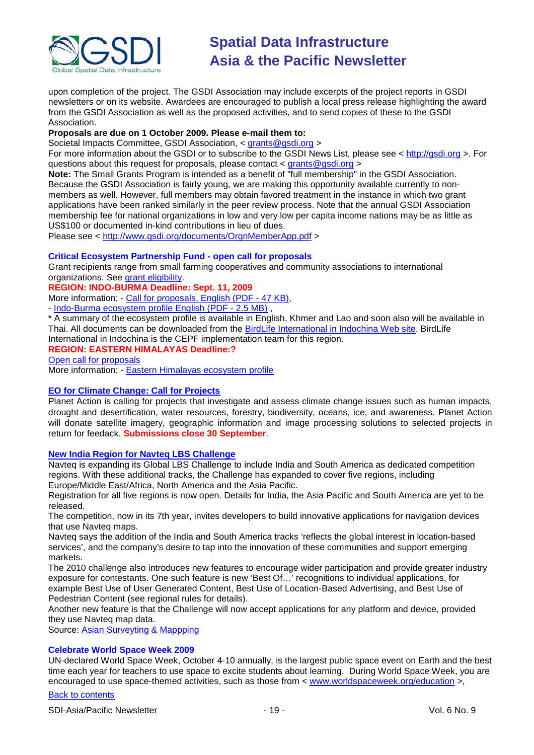

upon completion of the project. The GSDI Association may include excerpts of the project reports in GSDI newsletters or on its website. Awardees are encouraged to publish a local press release highlighting the award from the GSDI Association as well as the proposed activities, and to send copies of these to the GSDI Association.

#### **Proposals are due on 1 October 2009. Please e-mail them to:**

Societal Impacts Committee, GSDI Association, < [grants@gsdi.org](mailto:grants@gsdi.org) >

For more information about the GSDI or to subscribe to the GSDI News List, please see < [http://gsdi.org](http://gsdi.org/) >. For questions about this request for proposals, please contact  $\lt$  grants @ gsdi.org  $\gt$ 

**Note:** The Small Grants Program is intended as a benefit of "full membership" in the GSDI Association. Because the GSDI Association is fairly young, we are making this opportunity available currently to nonmembers as well. However, full members may obtain favored treatment in the instance in which two grant applications have been ranked similarly in the peer review process. Note that the annual GSDI Association membership fee for national organizations in low and very low per capita income nations may be as little as US\$100 or documented in-kind contributions in lieu of dues.

Please see < [http://www.gsdi.org/documents/OrgnMemberApp.pdf](https://owa.unimelb.edu.au/exchweb/bin/redir.asp?URL=http://www.gsdi.org/documents/OrgnMemberApp.pdf) >

#### **Critical Ecosystem Partnership Fund - open call for proposals**

Grant recipients range from small farming cooperatives and community associations to international organizations. See [grant eligibility.](http://www.cepf.net/grants/Pages/eligibility.aspx)

**REGION: INDO-BURMA Deadline: Sept. 11, 2009**

More information: - [Call for proposals, English \(PDF -](http://www.cepf.net/Documents/Final_Indochina_Call_for_LOIs_2_11Jun09.pdf) 47 KB),

- [Indo-Burma ecosystem profile English \(PDF -](http://www.cepf.net/Documents/final.indoburma_indochina.ep.pdf) 2.5 MB),

\* A summary of the ecosystem profile is available in English, Khmer and Lao and soon also will be available in Thai. All documents can be downloaded from the [BirdLife International in Indochina Web site.](http://www.birdlifeindochina.org/cepf/eligibility-criteria) BirdLife International in Indochina is the CEPF implementation team for this region.

#### **REGION: EASTERN HIMALAYAS Deadline:?**

[Open call for proposals](http://www.cepf.net/grants/apply/Pages/default.aspx)

More information: - [Eastern Himalayas ecosystem profile](http://www.cepf.net/where_we_work/regions/asia_pacific/eastern_himalayas/ecosystem_profile/Pages/default.aspx)

#### **[EO for Climate Change: Call for Projects](http://www.planet-action.org/web/134-call-for-projects.php)**

Planet Action is calling for projects that investigate and assess climate change issues such as human impacts, drought and desertification, water resources, forestry, biodiversity, oceans, ice, and awareness. Planet Action will donate satellite imagery, geographic information and image processing solutions to selected projects in return for feedack. **Submissions close 30 September**.

#### **[New India Region for Navteq LBS Challenge](http://www.lbschallenge.com/)**

Navteq is expanding its Global LBS Challenge to include India and South America as dedicated competition regions. With these additional tracks, the Challenge has expanded to cover five regions, including Europe/Middle East/Africa, North America and the Asia Pacific.

Registration for all five regions is now open. Details for India, the Asia Pacific and South America are yet to be released.

The competition, now in its 7th year, invites developers to build innovative applications for navigation devices that use Navteq maps.

Navteq says the addition of the India and South America tracks 'reflects the global interest in location-based services', and the company's desire to tap into the innovation of these communities and support emerging markets.

The 2010 challenge also introduces new features to encourage wider participation and provide greater industry exposure for contestants. One such feature is new 'Best Of…' recognitions to individual applications, for example Best Use of User Generated Content, Best Use of Location-Based Advertising, and Best Use of Pedestrian Content (see regional rules for details).

Another new feature is that the Challenge will now accept applications for any platform and device, provided they use Navteq map data.

Source: [Asian Surveyting & Mappping](http://www.asmmag.com/news/new-india-region-for-navteq-lbs-challenge)

#### **Celebrate World Space Week 2009**

UN-declared World Space Week, October 4-10 annually, is the largest public space event on Earth and the best time each year for teachers to use space to excite students about learning. During World Space Week, you are encouraged to use space-themed activities, such as those from < [www.worldspaceweek.org/education](http://www.worldspaceweek.org/education) >,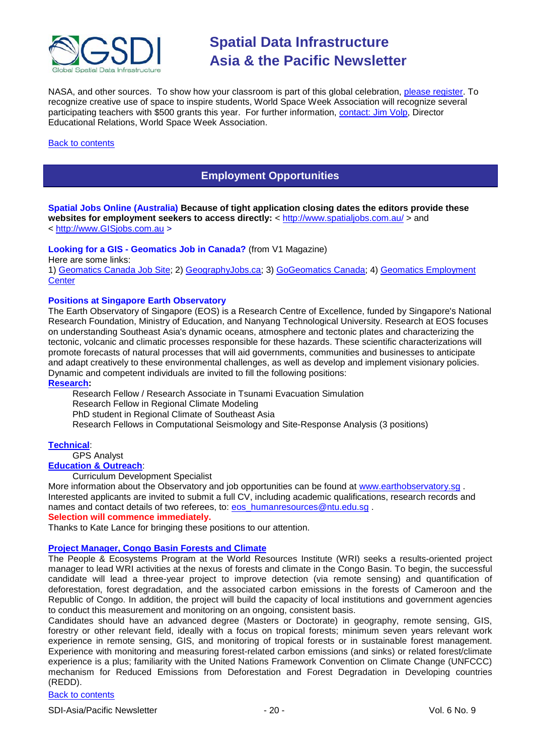

NASA, and other sources. To show how your classroom is part of this global celebration, [please register.](http://www.worldspaceweek.org/new_event.php) To recognize creative use of space to inspire students, World Space Week Association will recognize several participating teachers with \$500 grants this year. For further information, [contact: Jim Volp,](mailto:jvolp@worldspaceweek.org) Director Educational Relations, World Space Week Association.

#### [Back to contents](#page-0-0)

### **Employment Opportunities**

**Spatial Jobs Online (Australia) Because of tight application closing dates the editors provide these**  websites for employment seekers to access directly: <<http://www.spatialjobs.com.au/> > and < [http://www.GISjobs.com.au](http://www.gisjobs.com.au/) >

**Looking for a GIS - Geomatics Job in Canada?** (from V1 Magazine)

Here are some links:

1) [Geomatics Canada Job Site;](http://geomaticscanada.com/jobs.cfm) 2) [GeographyJobs.ca;](http://www.geographyjobs.ca/) 3) [GoGeomatics Canada;](http://canada.gogeomatics.net/frmHome.aspx) 4) [Geomatics Employment](http://gisjobs.ca/)  **[Center](http://gisjobs.ca/)** 

#### **Positions at Singapore Earth Observatory**

The Earth Observatory of Singapore (EOS) is a Research Centre of Excellence, funded by Singapore's National Research Foundation, Ministry of Education, and Nanyang Technological University. Research at EOS focuses on understanding Southeast Asia's dynamic oceans, atmosphere and tectonic plates and characterizing the tectonic, volcanic and climatic processes responsible for these hazards. These scientific characterizations will promote forecasts of natural processes that will aid governments, communities and businesses to anticipate and adapt creatively to these environmental challenges, as well as develop and implement visionary policies. Dynamic and competent individuals are invited to fill the following positions:

**[Research:](http://www.earthobservatory.sg/careers/jobopenings_research.php)**

Research Fellow / Research Associate in Tsunami Evacuation Simulation Research Fellow in Regional Climate Modeling PhD student in Regional Climate of Southeast Asia Research Fellows in Computational Seismology and Site-Response Analysis (3 positions)

#### **[Technical](http://www.earthobservatory.sg/careers/jobopenings_technical.php)**:

### GPS Analyst

**[Education & Outreach](http://www.earthobservatory.sg/careers/jobopenings_educationandoutreach.php)**:

Curriculum Development Specialist

More information about the Observatory and job opportunities can be found at [www.earthobservatory.sg](http://www.earthobservatory.sg/) . Interested applicants are invited to submit a full CV, including academic qualifications, research records and names and contact details of two referees, to: [eos\\_humanresources@ntu.edu.sg](mailto:eos_humanresources@ntu.edu.sg) .

#### **Selection will commence immediately.**

Thanks to Kate Lance for bringing these positions to our attention.

#### **[Project Manager, Congo Basin Forests and Climate](http://www.wri.org/job/11158)**

The People & Ecosystems Program at the World Resources Institute (WRI) seeks a results-oriented project manager to lead WRI activities at the nexus of forests and climate in the Congo Basin. To begin, the successful candidate will lead a three-year project to improve detection (via remote sensing) and quantification of deforestation, forest degradation, and the associated carbon emissions in the forests of Cameroon and the Republic of Congo. In addition, the project will build the capacity of local institutions and government agencies to conduct this measurement and monitoring on an ongoing, consistent basis.

Candidates should have an advanced degree (Masters or Doctorate) in geography, remote sensing, GIS, forestry or other relevant field, ideally with a focus on tropical forests; minimum seven years relevant work experience in remote sensing, GIS, and monitoring of tropical forests or in sustainable forest management. Experience with monitoring and measuring forest-related carbon emissions (and sinks) or related forest/climate experience is a plus; familiarity with the United Nations Framework Convention on Climate Change (UNFCCC) mechanism for Reduced Emissions from Deforestation and Forest Degradation in Developing countries (REDD).

#### [Back to contents](#page-0-0)

SDI-Asia/Pacific Newsletter  $\sim$  20 - 20 - Vol. 6 No. 9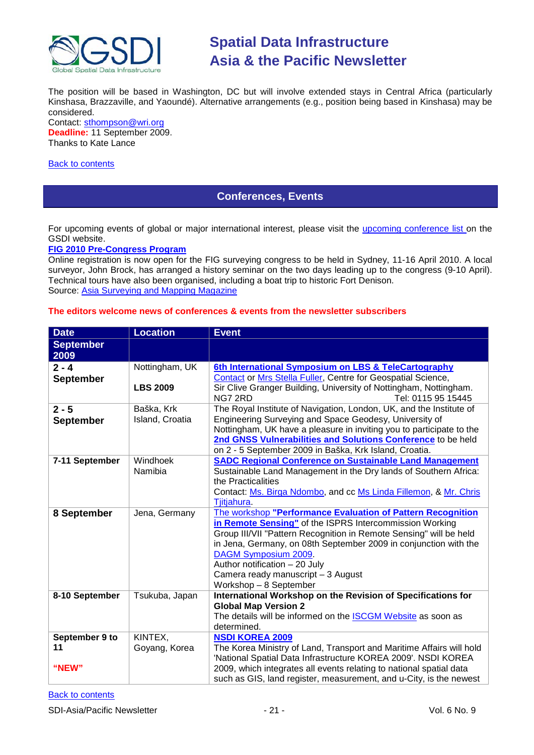

The position will be based in Washington, DC but will involve extended stays in Central Africa (particularly Kinshasa, Brazzaville, and Yaoundé). Alternative arrangements (e.g., position being based in Kinshasa) may be considered.

Contact: [sthompson@wri.org](mailto:sthompson@wri.org) **Deadline:** 11 September 2009. Thanks to Kate Lance

<span id="page-20-0"></span>[Back to contents](#page-0-0)

### **Conferences, Events**

For upcoming events of global or major international interest, please visit the [upcoming conference list o](http://gsdi.org/events/upcnf.asp)n the GSDI website.

**[FIG 2010 Pre-Congress Program](http://www.asmmag.com/news/fig-2010-pre-congress-program)**

Online registration is now open for the FIG surveying congress to be held in Sydney, 11-16 April 2010. A local surveyor, John Brock, has arranged a history seminar on the two days leading up to the congress (9-10 April). Technical tours have also been organised, including a boat trip to historic Fort Denison. Source: [Asia Surveying and Mapping Magazine](http://www.asmmag.com/news/fig-2010-pre-congress-program)

#### **The editors welcome news of conferences & events from the newsletter subscribers**

| <b>Date</b>                   | <b>Location</b>                   | <b>Event</b>                                                                                                                                                                                                                                                                                                                                                                              |
|-------------------------------|-----------------------------------|-------------------------------------------------------------------------------------------------------------------------------------------------------------------------------------------------------------------------------------------------------------------------------------------------------------------------------------------------------------------------------------------|
| <b>September</b><br>2009      |                                   |                                                                                                                                                                                                                                                                                                                                                                                           |
| $2 - 4$<br><b>September</b>   | Nottingham, UK<br><b>LBS 2009</b> | 6th International Symposium on LBS & TeleCartography<br>Contact or Mrs Stella Fuller, Centre for Geospatial Science,<br>Sir Clive Granger Building, University of Nottingham, Nottingham.<br>NG7 2RD<br>Tel: 0115 95 15445                                                                                                                                                                |
| $2 - 5$<br><b>September</b>   | Baška, Krk<br>Island, Croatia     | The Royal Institute of Navigation, London, UK, and the Institute of<br>Engineering Surveying and Space Geodesy, University of<br>Nottingham, UK have a pleasure in inviting you to participate to the<br>2nd GNSS Vulnerabilities and Solutions Conference to be held<br>on 2 - 5 September 2009 in Baška, Krk Island, Croatia.                                                           |
| 7-11 September                | Windhoek<br>Namibia               | <b>SADC Regional Conference on Sustainable Land Management</b><br>Sustainable Land Management in the Dry lands of Southern Africa:<br>the Practicalities<br>Contact: Ms. Birga Ndombo, and cc Ms Linda Fillemon, & Mr. Chris<br>Tjitjahura.                                                                                                                                               |
| 8 September                   | Jena, Germany                     | The workshop "Performance Evaluation of Pattern Recognition<br>in Remote Sensing" of the ISPRS Intercommission Working<br>Group III/VII "Pattern Recognition in Remote Sensing" will be held<br>in Jena, Germany, on 08th September 2009 in conjunction with the<br>DAGM Symposium 2009.<br>Author notification - 20 July<br>Camera ready manuscript - 3 August<br>Workshop - 8 September |
| 8-10 September                | Tsukuba, Japan                    | International Workshop on the Revision of Specifications for<br><b>Global Map Version 2</b><br>The details will be informed on the <b>ISCGM Website</b> as soon as<br>determined.                                                                                                                                                                                                         |
| September 9 to<br>11<br>"NEW" | KINTEX,<br>Goyang, Korea          | <b>NSDI KOREA 2009</b><br>The Korea Ministry of Land, Transport and Maritime Affairs will hold<br>'National Spatial Data Infrastructure KOREA 2009'. NSDI KOREA<br>2009, which integrates all events relating to national spatial data<br>such as GIS, land register, measurement, and u-City, is the newest                                                                              |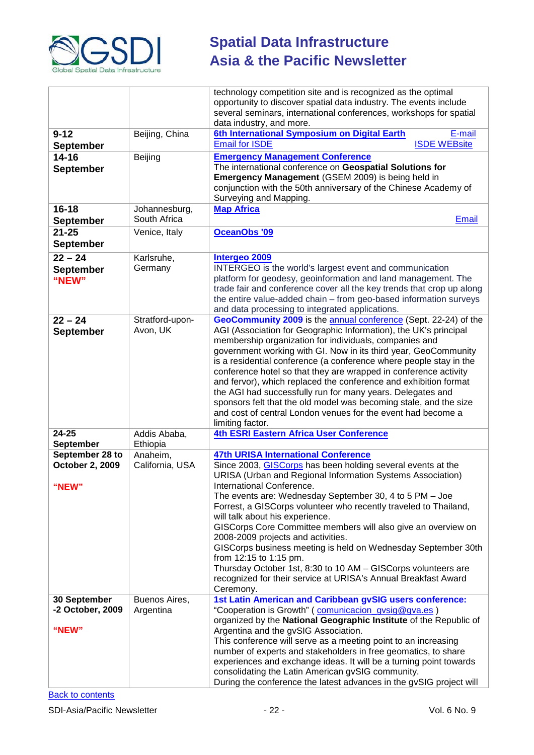

|                                                 |                                  | technology competition site and is recognized as the optimal<br>opportunity to discover spatial data industry. The events include<br>several seminars, international conferences, workshops for spatial<br>data industry, and more.                                                                                                                                                                                                                                                                                                                                                                                                                                                                                                    |
|-------------------------------------------------|----------------------------------|----------------------------------------------------------------------------------------------------------------------------------------------------------------------------------------------------------------------------------------------------------------------------------------------------------------------------------------------------------------------------------------------------------------------------------------------------------------------------------------------------------------------------------------------------------------------------------------------------------------------------------------------------------------------------------------------------------------------------------------|
| $9 - 12$<br><b>September</b>                    | Beijing, China                   | 6th International Symposium on Digital Earth<br>E-mail<br><b>Email for ISDE</b><br><b>ISDE WEBsite</b>                                                                                                                                                                                                                                                                                                                                                                                                                                                                                                                                                                                                                                 |
| $14 - 16$<br><b>September</b>                   | Beijing                          | <b>Emergency Management Conference</b><br>The international conference on Geospatial Solutions for<br>Emergency Management (GSEM 2009) is being held in<br>conjunction with the 50th anniversary of the Chinese Academy of<br>Surveying and Mapping.                                                                                                                                                                                                                                                                                                                                                                                                                                                                                   |
| $16 - 18$<br><b>September</b>                   | Johannesburg,<br>South Africa    | <b>Map Africa</b><br>Email                                                                                                                                                                                                                                                                                                                                                                                                                                                                                                                                                                                                                                                                                                             |
| $21 - 25$<br><b>September</b>                   | Venice, Italy                    | OceanObs '09                                                                                                                                                                                                                                                                                                                                                                                                                                                                                                                                                                                                                                                                                                                           |
| $22 - 24$<br><b>September</b><br>"NEW"          | Karlsruhe,<br>Germany            | <b>Intergeo 2009</b><br>INTERGEO is the world's largest event and communication<br>platform for geodesy, geoinformation and land management. The<br>trade fair and conference cover all the key trends that crop up along<br>the entire value-added chain - from geo-based information surveys<br>and data processing to integrated applications.                                                                                                                                                                                                                                                                                                                                                                                      |
| $22 - 24$<br><b>September</b>                   | Stratford-upon-<br>Avon, UK      | GeoCommunity 2009 is the annual conference (Sept. 22-24) of the<br>AGI (Association for Geographic Information), the UK's principal<br>membership organization for individuals, companies and<br>government working with GI. Now in its third year, GeoCommunity<br>is a residential conference (a conference where people stay in the<br>conference hotel so that they are wrapped in conference activity<br>and fervor), which replaced the conference and exhibition format<br>the AGI had successfully run for many years. Delegates and<br>sponsors felt that the old model was becoming stale, and the size<br>and cost of central London venues for the event had become a<br>limiting factor.                                  |
| 24-25<br><b>September</b>                       | Addis Ababa,<br>Ethiopia         | 4th ESRI Eastern Africa User Conference                                                                                                                                                                                                                                                                                                                                                                                                                                                                                                                                                                                                                                                                                                |
| September 28 to                                 | Anaheim,                         | <b>47th URISA International Conference</b>                                                                                                                                                                                                                                                                                                                                                                                                                                                                                                                                                                                                                                                                                             |
| <b>October 2, 2009</b><br>"NEW"<br>30 September | California, USA<br>Buenos Aires, | Since 2003, GISCorps has been holding several events at the<br>URISA (Urban and Regional Information Systems Association)<br>International Conference.<br>The events are: Wednesday September 30, 4 to 5 PM - Joe<br>Forrest, a GISCorps volunteer who recently traveled to Thailand,<br>will talk about his experience.<br>GISCorps Core Committee members will also give an overview on<br>2008-2009 projects and activities.<br>GISCorps business meeting is held on Wednesday September 30th<br>from 12:15 to 1:15 pm.<br>Thursday October 1st, 8:30 to 10 AM - GISCorps volunteers are<br>recognized for their service at URISA's Annual Breakfast Award<br>Ceremony.<br>1st Latin American and Caribbean gvSIG users conference: |
| -2 October, 2009                                | Argentina                        | "Cooperation is Growth" (comunicacion_gysig@gya.es)                                                                                                                                                                                                                                                                                                                                                                                                                                                                                                                                                                                                                                                                                    |
| "NEW"                                           |                                  | organized by the National Geographic Institute of the Republic of<br>Argentina and the gvSIG Association.<br>This conference will serve as a meeting point to an increasing<br>number of experts and stakeholders in free geomatics, to share<br>experiences and exchange ideas. It will be a turning point towards<br>consolidating the Latin American gvSIG community.<br>During the conference the latest advances in the gvSIG project will                                                                                                                                                                                                                                                                                        |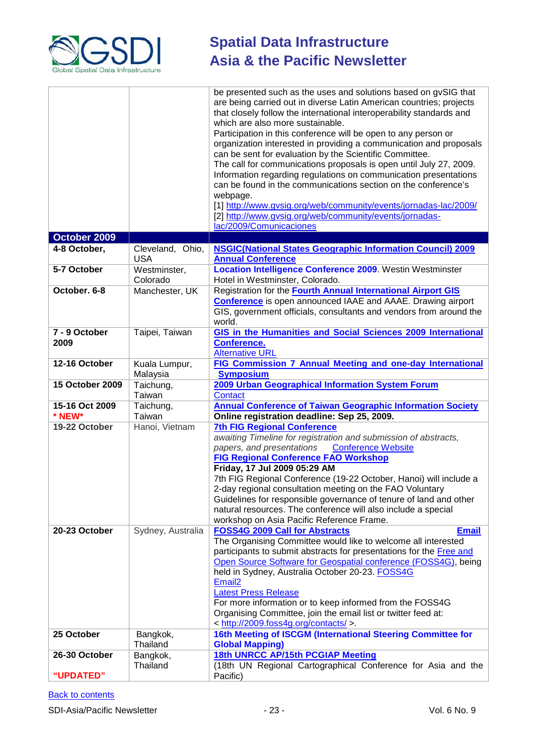

|                       |                                | be presented such as the uses and solutions based on gvSIG that<br>are being carried out in diverse Latin American countries; projects<br>that closely follow the international interoperability standards and<br>which are also more sustainable.<br>Participation in this conference will be open to any person or<br>organization interested in providing a communication and proposals<br>can be sent for evaluation by the Scientific Committee.<br>The call for communications proposals is open until July 27, 2009.<br>Information regarding regulations on communication presentations<br>can be found in the communications section on the conference's<br>webpage.<br>[1] http://www.gvsig.org/web/community/events/jornadas-lac/2009/<br>[2] http://www.gvsig.org/web/community/events/jornadas-<br>lac/2009/Comunicaciones |
|-----------------------|--------------------------------|-----------------------------------------------------------------------------------------------------------------------------------------------------------------------------------------------------------------------------------------------------------------------------------------------------------------------------------------------------------------------------------------------------------------------------------------------------------------------------------------------------------------------------------------------------------------------------------------------------------------------------------------------------------------------------------------------------------------------------------------------------------------------------------------------------------------------------------------|
| October 2009          |                                |                                                                                                                                                                                                                                                                                                                                                                                                                                                                                                                                                                                                                                                                                                                                                                                                                                         |
| 4-8 October,          | Cleveland, Ohio,<br><b>USA</b> | <b>NSGIC(National States Geographic Information Council) 2009</b><br><b>Annual Conference</b>                                                                                                                                                                                                                                                                                                                                                                                                                                                                                                                                                                                                                                                                                                                                           |
| 5-7 October           | Westminster,<br>Colorado       | <b>Location Intelligence Conference 2009.</b> Westin Westminster<br>Hotel in Westminster, Colorado.                                                                                                                                                                                                                                                                                                                                                                                                                                                                                                                                                                                                                                                                                                                                     |
| October. 6-8          | Manchester, UK                 | Registration for the Fourth Annual International Airport GIS<br><b>Conference</b> is open announced IAAE and AAAE. Drawing airport<br>GIS, government officials, consultants and vendors from around the<br>world.                                                                                                                                                                                                                                                                                                                                                                                                                                                                                                                                                                                                                      |
| 7 - 9 October<br>2009 | Taipei, Taiwan                 | GIS in the Humanities and Social Sciences 2009 International<br><b>Conference.</b><br><b>Alternative URL</b>                                                                                                                                                                                                                                                                                                                                                                                                                                                                                                                                                                                                                                                                                                                            |
| 12-16 October         | Kuala Lumpur,<br>Malaysia      | FIG Commission 7 Annual Meeting and one-day International<br><b>Symposium</b>                                                                                                                                                                                                                                                                                                                                                                                                                                                                                                                                                                                                                                                                                                                                                           |
| 15 October 2009       | Taichung,<br>Taiwan            | 2009 Urban Geographical Information System Forum<br><b>Contact</b>                                                                                                                                                                                                                                                                                                                                                                                                                                                                                                                                                                                                                                                                                                                                                                      |
| 15-16 Oct 2009        | Taichung,                      | <b>Annual Conference of Taiwan Geographic Information Society</b>                                                                                                                                                                                                                                                                                                                                                                                                                                                                                                                                                                                                                                                                                                                                                                       |
| * NEW*                | Taiwan                         | Online registration deadline: Sep 25, 2009.                                                                                                                                                                                                                                                                                                                                                                                                                                                                                                                                                                                                                                                                                                                                                                                             |
| 19-22 October         | Hanoi, Vietnam                 | <b>7th FIG Regional Conference</b><br>awaiting Timeline for registration and submission of abstracts,<br>papers, and presentations<br><b>Conference Website</b><br><b>FIG Regional Conference FAO Workshop</b><br>Friday, 17 Jul 2009 05:29 AM<br>7th FIG Regional Conference (19-22 October, Hanoi) will include a<br>2-day regional consultation meeting on the FAO Voluntary<br>Guidelines for responsible governance of tenure of land and other<br>natural resources. The conference will also include a special<br>workshop on Asia Pacific Reference Frame.                                                                                                                                                                                                                                                                      |
| 20-23 October         | Sydney, Australia              | <b>Email</b><br><b>FOSS4G 2009 Call for Abstracts</b><br>The Organising Committee would like to welcome all interested<br>participants to submit abstracts for presentations for the Free and<br>Open Source Software for Geospatial conference (FOSS4G), being<br>held in Sydney, Australia October 20-23. FOSS4G<br>Email <sub>2</sub><br><b>Latest Press Release</b><br>For more information or to keep informed from the FOSS4G<br>Organising Committee, join the email list or twitter feed at:<br>< http://2009.foss4g.org/contacts/ >.                                                                                                                                                                                                                                                                                           |
| 25 October            | Bangkok,<br>Thailand           | 16th Meeting of ISCGM (International Steering Committee for<br><b>Global Mapping)</b>                                                                                                                                                                                                                                                                                                                                                                                                                                                                                                                                                                                                                                                                                                                                                   |
| 26-30 October         | Bangkok,<br>Thailand           | 18th UNRCC AP/15th PCGIAP Meeting<br>(18th UN Regional Cartographical Conference for Asia and the                                                                                                                                                                                                                                                                                                                                                                                                                                                                                                                                                                                                                                                                                                                                       |
| "UPDATED"             |                                | Pacific)                                                                                                                                                                                                                                                                                                                                                                                                                                                                                                                                                                                                                                                                                                                                                                                                                                |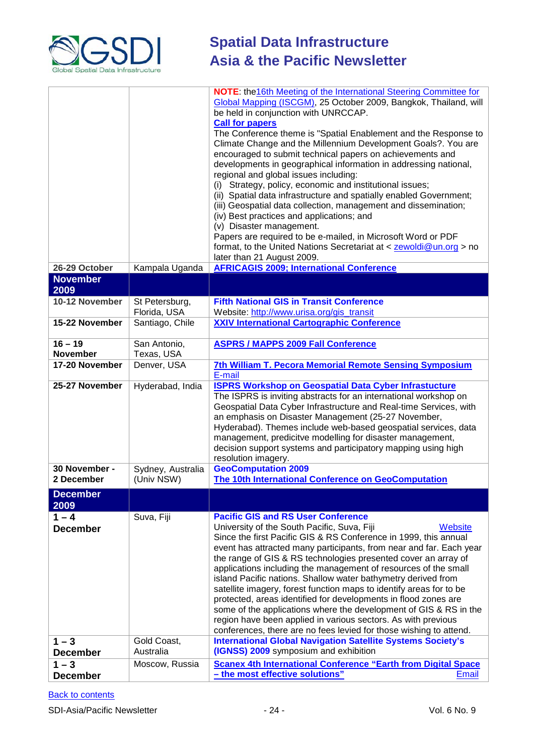

|                             |                                 | NOTE: the 16th Meeting of the International Steering Committee for<br>Global Mapping (ISCGM), 25 October 2009, Bangkok, Thailand, will<br>be held in conjunction with UNRCCAP.<br><b>Call for papers</b><br>The Conference theme is "Spatial Enablement and the Response to<br>Climate Change and the Millennium Development Goals?. You are<br>encouraged to submit technical papers on achievements and<br>developments in geographical information in addressing national,<br>regional and global issues including:<br>(i) Strategy, policy, economic and institutional issues;<br>(ii) Spatial data infrastructure and spatially enabled Government;<br>(iii) Geospatial data collection, management and dissemination;<br>(iv) Best practices and applications; and<br>(v) Disaster management.<br>Papers are required to be e-mailed, in Microsoft Word or PDF<br>format, to the United Nations Secretariat at < zewoldi@un.org > no<br>later than 21 August 2009. |
|-----------------------------|---------------------------------|--------------------------------------------------------------------------------------------------------------------------------------------------------------------------------------------------------------------------------------------------------------------------------------------------------------------------------------------------------------------------------------------------------------------------------------------------------------------------------------------------------------------------------------------------------------------------------------------------------------------------------------------------------------------------------------------------------------------------------------------------------------------------------------------------------------------------------------------------------------------------------------------------------------------------------------------------------------------------|
| 26-29 October               | Kampala Uganda                  | <b>AFRICAGIS 2009; International Conference</b>                                                                                                                                                                                                                                                                                                                                                                                                                                                                                                                                                                                                                                                                                                                                                                                                                                                                                                                          |
| <b>November</b>             |                                 |                                                                                                                                                                                                                                                                                                                                                                                                                                                                                                                                                                                                                                                                                                                                                                                                                                                                                                                                                                          |
| 2009                        |                                 |                                                                                                                                                                                                                                                                                                                                                                                                                                                                                                                                                                                                                                                                                                                                                                                                                                                                                                                                                                          |
| 10-12 November              | St Petersburg,                  | <b>Fifth National GIS in Transit Conference</b>                                                                                                                                                                                                                                                                                                                                                                                                                                                                                                                                                                                                                                                                                                                                                                                                                                                                                                                          |
| 15-22 November              | Florida, USA<br>Santiago, Chile | Website: http://www.urisa.org/gis_transit<br><b>XXIV International Cartographic Conference</b>                                                                                                                                                                                                                                                                                                                                                                                                                                                                                                                                                                                                                                                                                                                                                                                                                                                                           |
|                             |                                 |                                                                                                                                                                                                                                                                                                                                                                                                                                                                                                                                                                                                                                                                                                                                                                                                                                                                                                                                                                          |
| $16 - 19$                   | San Antonio,                    | <b>ASPRS / MAPPS 2009 Fall Conference</b>                                                                                                                                                                                                                                                                                                                                                                                                                                                                                                                                                                                                                                                                                                                                                                                                                                                                                                                                |
| <b>November</b>             | Texas, USA                      |                                                                                                                                                                                                                                                                                                                                                                                                                                                                                                                                                                                                                                                                                                                                                                                                                                                                                                                                                                          |
| 17-20 November              | Denver, USA                     | <b>7th William T. Pecora Memorial Remote Sensing Symposium</b><br>E-mail                                                                                                                                                                                                                                                                                                                                                                                                                                                                                                                                                                                                                                                                                                                                                                                                                                                                                                 |
| 25-27 November              | Hyderabad, India                | <b>ISPRS Workshop on Geospatial Data Cyber Infrastucture</b><br>The ISPRS is inviting abstracts for an international workshop on<br>Geospatial Data Cyber Infrastructure and Real-time Services, with<br>an emphasis on Disaster Management (25-27 November,<br>Hyderabad). Themes include web-based geospatial services, data<br>management, predicitve modelling for disaster management,<br>decision support systems and participatory mapping using high<br>resolution imagery.                                                                                                                                                                                                                                                                                                                                                                                                                                                                                      |
| 30 November -<br>2 December | Sydney, Australia<br>(Univ NSW) | <b>GeoComputation 2009</b><br>The 10th International Conference on GeoComputation                                                                                                                                                                                                                                                                                                                                                                                                                                                                                                                                                                                                                                                                                                                                                                                                                                                                                        |
| <b>December</b><br>2009     |                                 |                                                                                                                                                                                                                                                                                                                                                                                                                                                                                                                                                                                                                                                                                                                                                                                                                                                                                                                                                                          |
| $1 - 4$<br><b>December</b>  | Suva, Fiji                      | <b>Pacific GIS and RS User Conference</b><br>University of the South Pacific, Suva, Fiji<br>Website<br>Since the first Pacific GIS & RS Conference in 1999, this annual<br>event has attracted many participants, from near and far. Each year<br>the range of GIS & RS technologies presented cover an array of<br>applications including the management of resources of the small<br>island Pacific nations. Shallow water bathymetry derived from<br>satellite imagery, forest function maps to identify areas for to be<br>protected, areas identified for developments in flood zones are<br>some of the applications where the development of GIS & RS in the<br>region have been applied in various sectors. As with previous<br>conferences, there are no fees levied for those wishing to attend.                                                                                                                                                               |
| $1 - 3$                     | Gold Coast,                     | <b>International Global Navigation Satellite Systems Society's</b>                                                                                                                                                                                                                                                                                                                                                                                                                                                                                                                                                                                                                                                                                                                                                                                                                                                                                                       |
| <b>December</b>             | Australia                       | (IGNSS) 2009 symposium and exhibition                                                                                                                                                                                                                                                                                                                                                                                                                                                                                                                                                                                                                                                                                                                                                                                                                                                                                                                                    |
| $1 - 3$                     | Moscow, Russia                  | <b>Scanex 4th International Conference "Earth from Digital Space</b><br>- the most effective solutions"<br><b>Email</b>                                                                                                                                                                                                                                                                                                                                                                                                                                                                                                                                                                                                                                                                                                                                                                                                                                                  |
| <b>December</b>             |                                 |                                                                                                                                                                                                                                                                                                                                                                                                                                                                                                                                                                                                                                                                                                                                                                                                                                                                                                                                                                          |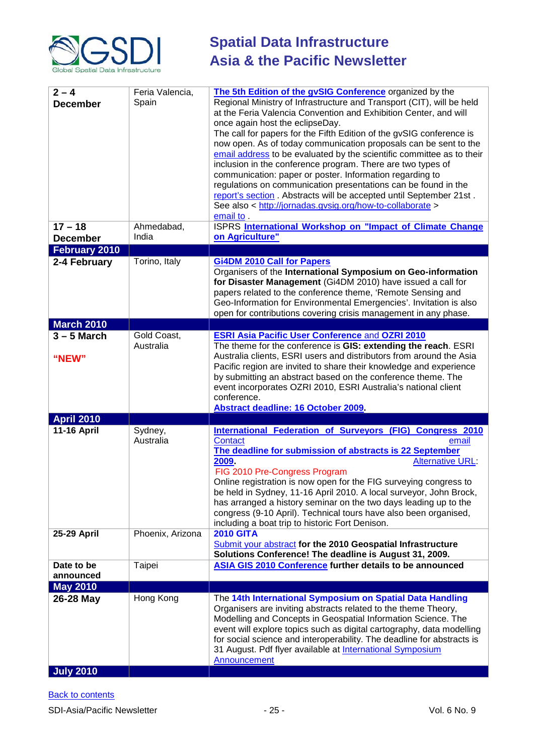

| $2 - 4$<br><b>December</b>    | Feria Valencia,<br>Spain | The 5th Edition of the gvSIG Conference organized by the<br>Regional Ministry of Infrastructure and Transport (CIT), will be held<br>at the Feria Valencia Convention and Exhibition Center, and will<br>once again host the eclipseDay.<br>The call for papers for the Fifth Edition of the gvSIG conference is<br>now open. As of today communication proposals can be sent to the<br>email address to be evaluated by the scientific committee as to their<br>inclusion in the conference program. There are two types of<br>communication: paper or poster. Information regarding to<br>regulations on communication presentations can be found in the<br>report's section. Abstracts will be accepted until September 21st.<br>See also < http://jornadas.gvsig.org/how-to-collaborate ><br>email to. |
|-------------------------------|--------------------------|------------------------------------------------------------------------------------------------------------------------------------------------------------------------------------------------------------------------------------------------------------------------------------------------------------------------------------------------------------------------------------------------------------------------------------------------------------------------------------------------------------------------------------------------------------------------------------------------------------------------------------------------------------------------------------------------------------------------------------------------------------------------------------------------------------|
| $17 - 18$<br><b>December</b>  | Ahmedabad,<br>India      | ISPRS International Workshop on "Impact of Climate Change<br>on Agriculture"                                                                                                                                                                                                                                                                                                                                                                                                                                                                                                                                                                                                                                                                                                                               |
|                               |                          |                                                                                                                                                                                                                                                                                                                                                                                                                                                                                                                                                                                                                                                                                                                                                                                                            |
| February 2010                 |                          |                                                                                                                                                                                                                                                                                                                                                                                                                                                                                                                                                                                                                                                                                                                                                                                                            |
| 2-4 February                  | Torino, Italy            | <b>Gi4DM 2010 Call for Papers</b><br>Organisers of the International Symposium on Geo-information<br>for Disaster Management (Gi4DM 2010) have issued a call for<br>papers related to the conference theme, 'Remote Sensing and<br>Geo-Information for Environmental Emergencies'. Invitation is also<br>open for contributions covering crisis management in any phase.                                                                                                                                                                                                                                                                                                                                                                                                                                   |
| <b>March 2010</b>             |                          |                                                                                                                                                                                                                                                                                                                                                                                                                                                                                                                                                                                                                                                                                                                                                                                                            |
| $3 - 5$ March                 | Gold Coast,<br>Australia | <b>ESRI Asia Pacific User Conference and OZRI 2010</b><br>The theme for the conference is GIS: extending the reach. ESRI                                                                                                                                                                                                                                                                                                                                                                                                                                                                                                                                                                                                                                                                                   |
| "NEW"                         |                          | Australia clients, ESRI users and distributors from around the Asia<br>Pacific region are invited to share their knowledge and experience<br>by submitting an abstract based on the conference theme. The<br>event incorporates OZRI 2010, ESRI Australia's national client<br>conference.<br>Abstract deadline: 16 October 2009.                                                                                                                                                                                                                                                                                                                                                                                                                                                                          |
| <b>April 2010</b>             |                          |                                                                                                                                                                                                                                                                                                                                                                                                                                                                                                                                                                                                                                                                                                                                                                                                            |
| <b>11-16 April</b>            | Sydney,<br>Australia     | <b>International Federation of Surveyors (FIG) Congress 2010</b><br><b>Contact</b><br>email<br>The deadline for submission of abstracts is 22 September<br>2009<br><b>Alternative URL:</b><br>FIG 2010 Pre-Congress Program<br>Online registration is now open for the FIG surveying congress to<br>be held in Sydney, 11-16 April 2010. A local surveyor, John Brock,<br>has arranged a history seminar on the two days leading up to the<br>congress (9-10 April). Technical tours have also been organised,<br>including a boat trip to historic Fort Denison.                                                                                                                                                                                                                                          |
| 25-29 April                   | Phoenix, Arizona         | <b>2010 GITA</b><br><b>Submit your abstract for the 2010 Geospatial Infrastructure</b><br>Solutions Conference! The deadline is August 31, 2009.                                                                                                                                                                                                                                                                                                                                                                                                                                                                                                                                                                                                                                                           |
| Date to be<br>announced       | Taipei                   | ASIA GIS 2010 Conference further details to be announced                                                                                                                                                                                                                                                                                                                                                                                                                                                                                                                                                                                                                                                                                                                                                   |
| <b>May 2010</b>               |                          |                                                                                                                                                                                                                                                                                                                                                                                                                                                                                                                                                                                                                                                                                                                                                                                                            |
| 26-28 May<br><b>July 2010</b> | Hong Kong                | The 14th International Symposium on Spatial Data Handling<br>Organisers are inviting abstracts related to the theme Theory,<br>Modelling and Concepts in Geospatial Information Science. The<br>event will explore topics such as digital cartography, data modelling<br>for social science and interoperability. The deadline for abstracts is<br>31 August. Pdf flyer available at International Symposium<br>Announcement                                                                                                                                                                                                                                                                                                                                                                               |
|                               |                          |                                                                                                                                                                                                                                                                                                                                                                                                                                                                                                                                                                                                                                                                                                                                                                                                            |